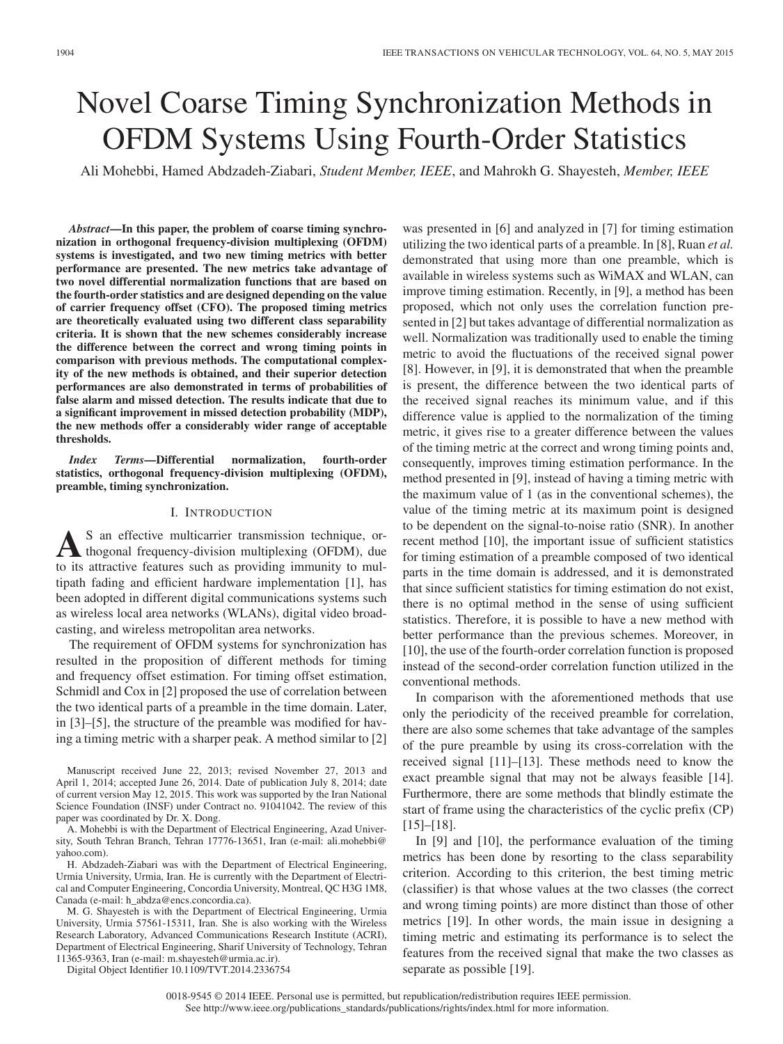# Novel Coarse Timing Synchronization Methods in OFDM Systems Using Fourth-Order Statistics

Ali Mohebbi, Hamed Abdzadeh-Ziabari, *Student Member, IEEE*, and Mahrokh G. Shayesteh, *Member, IEEE*

*Abstract***—In this paper, the problem of coarse timing synchronization in orthogonal frequency-division multiplexing (OFDM) systems is investigated, and two new timing metrics with better performance are presented. The new metrics take advantage of two novel differential normalization functions that are based on the fourth-order statistics and are designed depending on the value of carrier frequency offset (CFO). The proposed timing metrics are theoretically evaluated using two different class separability criteria. It is shown that the new schemes considerably increase the difference between the correct and wrong timing points in comparison with previous methods. The computational complexity of the new methods is obtained, and their superior detection performances are also demonstrated in terms of probabilities of false alarm and missed detection. The results indicate that due to a significant improvement in missed detection probability (MDP), the new methods offer a considerably wider range of acceptable thresholds.**

*Index Terms***—Differential normalization, fourth-order statistics, orthogonal frequency-division multiplexing (OFDM), preamble, timing synchronization.**

# I. INTRODUCTION

AS an effective multicarrier transmission technique, or-<br>thogonal frequency-division multiplexing (OFDM), due to its attractive features such as providing immunity to multipath fading and efficient hardware implementation [1], has been adopted in different digital communications systems such as wireless local area networks (WLANs), digital video broadcasting, and wireless metropolitan area networks.

The requirement of OFDM systems for synchronization has resulted in the proposition of different methods for timing and frequency offset estimation. For timing offset estimation, Schmidl and Cox in [2] proposed the use of correlation between the two identical parts of a preamble in the time domain. Later, in [3]–[5], the structure of the preamble was modified for having a timing metric with a sharper peak. A method similar to [2]

H. Abdzadeh-Ziabari was with the Department of Electrical Engineering, Urmia University, Urmia, Iran. He is currently with the Department of Electrical and Computer Engineering, Concordia University, Montreal, QC H3G 1M8, Canada (e-mail: h\_abdza@encs.concordia.ca).

M. G. Shayesteh is with the Department of Electrical Engineering, Urmia University, Urmia 57561-15311, Iran. She is also working with the Wireless Research Laboratory, Advanced Communications Research Institute (ACRI), Department of Electrical Engineering, Sharif University of Technology, Tehran 11365-9363, Iran (e-mail: m.shayesteh@urmia.ac.ir).

Digital Object Identifier 10.1109/TVT.2014.2336754

was presented in [6] and analyzed in [7] for timing estimation utilizing the two identical parts of a preamble. In [8], Ruan *et al.* demonstrated that using more than one preamble, which is available in wireless systems such as WiMAX and WLAN, can improve timing estimation. Recently, in [9], a method has been proposed, which not only uses the correlation function presented in [2] but takes advantage of differential normalization as well. Normalization was traditionally used to enable the timing metric to avoid the fluctuations of the received signal power [8]. However, in [9], it is demonstrated that when the preamble is present, the difference between the two identical parts of the received signal reaches its minimum value, and if this difference value is applied to the normalization of the timing metric, it gives rise to a greater difference between the values of the timing metric at the correct and wrong timing points and, consequently, improves timing estimation performance. In the method presented in [9], instead of having a timing metric with the maximum value of 1 (as in the conventional schemes), the value of the timing metric at its maximum point is designed to be dependent on the signal-to-noise ratio (SNR). In another recent method [10], the important issue of sufficient statistics for timing estimation of a preamble composed of two identical parts in the time domain is addressed, and it is demonstrated that since sufficient statistics for timing estimation do not exist, there is no optimal method in the sense of using sufficient statistics. Therefore, it is possible to have a new method with better performance than the previous schemes. Moreover, in [10], the use of the fourth-order correlation function is proposed instead of the second-order correlation function utilized in the conventional methods.

In comparison with the aforementioned methods that use only the periodicity of the received preamble for correlation, there are also some schemes that take advantage of the samples of the pure preamble by using its cross-correlation with the received signal [11]–[13]. These methods need to know the exact preamble signal that may not be always feasible [14]. Furthermore, there are some methods that blindly estimate the start of frame using the characteristics of the cyclic prefix (CP) [15]–[18].

In [9] and [10], the performance evaluation of the timing metrics has been done by resorting to the class separability criterion. According to this criterion, the best timing metric (classifier) is that whose values at the two classes (the correct and wrong timing points) are more distinct than those of other metrics [19]. In other words, the main issue in designing a timing metric and estimating its performance is to select the features from the received signal that make the two classes as separate as possible [19].

Manuscript received June 22, 2013; revised November 27, 2013 and April 1, 2014; accepted June 26, 2014. Date of publication July 8, 2014; date of current version May 12, 2015. This work was supported by the Iran National Science Foundation (INSF) under Contract no. 91041042. The review of this paper was coordinated by Dr. X. Dong.

A. Mohebbi is with the Department of Electrical Engineering, Azad University, South Tehran Branch, Tehran 17776-13651, Iran (e-mail: ali.mohebbi@ yahoo.com).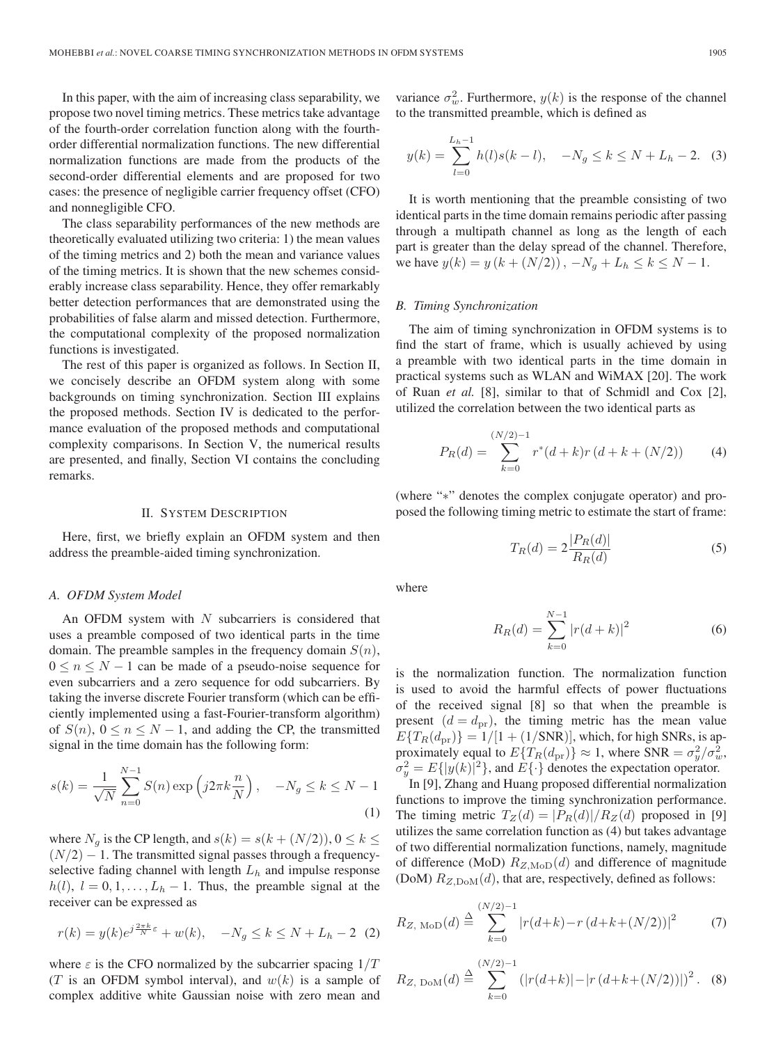In this paper, with the aim of increasing class separability, we propose two novel timing metrics. These metrics take advantage of the fourth-order correlation function along with the fourthorder differential normalization functions. The new differential normalization functions are made from the products of the second-order differential elements and are proposed for two cases: the presence of negligible carrier frequency offset (CFO) and nonnegligible CFO.

The class separability performances of the new methods are theoretically evaluated utilizing two criteria: 1) the mean values of the timing metrics and 2) both the mean and variance values of the timing metrics. It is shown that the new schemes considerably increase class separability. Hence, they offer remarkably better detection performances that are demonstrated using the probabilities of false alarm and missed detection. Furthermore, the computational complexity of the proposed normalization functions is investigated.

The rest of this paper is organized as follows. In Section II, we concisely describe an OFDM system along with some backgrounds on timing synchronization. Section III explains the proposed methods. Section IV is dedicated to the performance evaluation of the proposed methods and computational complexity comparisons. In Section V, the numerical results are presented, and finally, Section VI contains the concluding remarks.

## II. SYSTEM DESCRIPTION

Here, first, we briefly explain an OFDM system and then address the preamble-aided timing synchronization.

## *A. OFDM System Model*

An OFDM system with  $N$  subcarriers is considered that uses a preamble composed of two identical parts in the time domain. The preamble samples in the frequency domain  $S(n)$ ,  $0 \le n \le N - 1$  can be made of a pseudo-noise sequence for even subcarriers and a zero sequence for odd subcarriers. By taking the inverse discrete Fourier transform (which can be efficiently implemented using a fast-Fourier-transform algorithm) of  $S(n)$ ,  $0 \le n \le N - 1$ , and adding the CP, the transmitted signal in the time domain has the following form:

$$
s(k) = \frac{1}{\sqrt{N}} \sum_{n=0}^{N-1} S(n) \exp\left(j2\pi k \frac{n}{N}\right), \quad -N_g \le k \le N-1
$$
\n(1)

where  $N_g$  is the CP length, and  $s(k) = s(k + (N/2)), 0 \le k \le$  $(N/2) - 1$ . The transmitted signal passes through a frequencyselective fading channel with length  $L<sub>h</sub>$  and impulse response  $h(l)$ ,  $l = 0, 1, \ldots, L_h - 1$ . Thus, the preamble signal at the receiver can be expressed as

$$
r(k) = y(k)e^{j\frac{2\pi k}{N}\varepsilon} + w(k), \quad -N_g \le k \le N + L_h - 2 \quad (2)
$$

where  $\varepsilon$  is the CFO normalized by the subcarrier spacing  $1/T$ (T is an OFDM symbol interval), and  $w(k)$  is a sample of complex additive white Gaussian noise with zero mean and

variance  $\sigma_w^2$ . Furthermore,  $y(k)$  is the response of the channel to the transmitted preamble, which is defined as

$$
y(k) = \sum_{l=0}^{L_h - 1} h(l)s(k - l), \quad -N_g \le k \le N + L_h - 2. \tag{3}
$$

It is worth mentioning that the preamble consisting of two identical parts in the time domain remains periodic after passing through a multipath channel as long as the length of each part is greater than the delay spread of the channel. Therefore, we have  $y(k) = y (k + (N/2))$ ,  $-N_a + L_h \le k \le N - 1$ .

#### *B. Timing Synchronization*

The aim of timing synchronization in OFDM systems is to find the start of frame, which is usually achieved by using a preamble with two identical parts in the time domain in practical systems such as WLAN and WiMAX [20]. The work of Ruan *et al.* [8], similar to that of Schmidl and Cox [2], utilized the correlation between the two identical parts as

$$
P_R(d) = \sum_{k=0}^{(N/2)-1} r^*(d+k)r(d+k+(N/2))
$$
 (4)

(where "∗" denotes the complex conjugate operator) and proposed the following timing metric to estimate the start of frame:

$$
T_R(d) = 2\frac{|P_R(d)|}{R_R(d)}\tag{5}
$$

where

$$
R_R(d) = \sum_{k=0}^{N-1} |r(d+k)|^2
$$
 (6)

is the normalization function. The normalization function is used to avoid the harmful effects of power fluctuations of the received signal [8] so that when the preamble is present  $(d = d_{\text{pr}})$ , the timing metric has the mean value  $E\{T_R(d_{\text{pr}})\}=1/[1+(1/\text{SNR})]$ , which, for high SNRs, is approximately equal to  $E\{T_R(d_{\text{pr}})\}\approx 1$ , where SNR =  $\sigma_y^2/\sigma_w^2$ ,  $\sigma_y^2 = E\{|y(k)|^2\}$ , and  $E\{\cdot\}$  denotes the expectation operator.

In [9], Zhang and Huang proposed differential normalization functions to improve the timing synchronization performance. The timing metric  $T_Z(d) = |P_R(d)|/R_Z(d)$  proposed in [9] utilizes the same correlation function as (4) but takes advantage of two differential normalization functions, namely, magnitude of difference (MoD)  $R_{Z,\text{MoD}}(d)$  and difference of magnitude (DoM)  $R_{Z, \text{DoM}}(d)$ , that are, respectively, defined as follows:

$$
R_{Z,\text{ MoD}}(d) \stackrel{\Delta}{=} \sum_{k=0}^{(N/2)-1} |r(d+k) - r(d+k+(N/2))|^2 \tag{7}
$$

$$
R_{Z, \text{DoM}}(d) \stackrel{\Delta}{=} \sum_{k=0}^{(N/2)-1} \left( |r(d+k)| - |r(d+k+(N/2))| \right)^2. \tag{8}
$$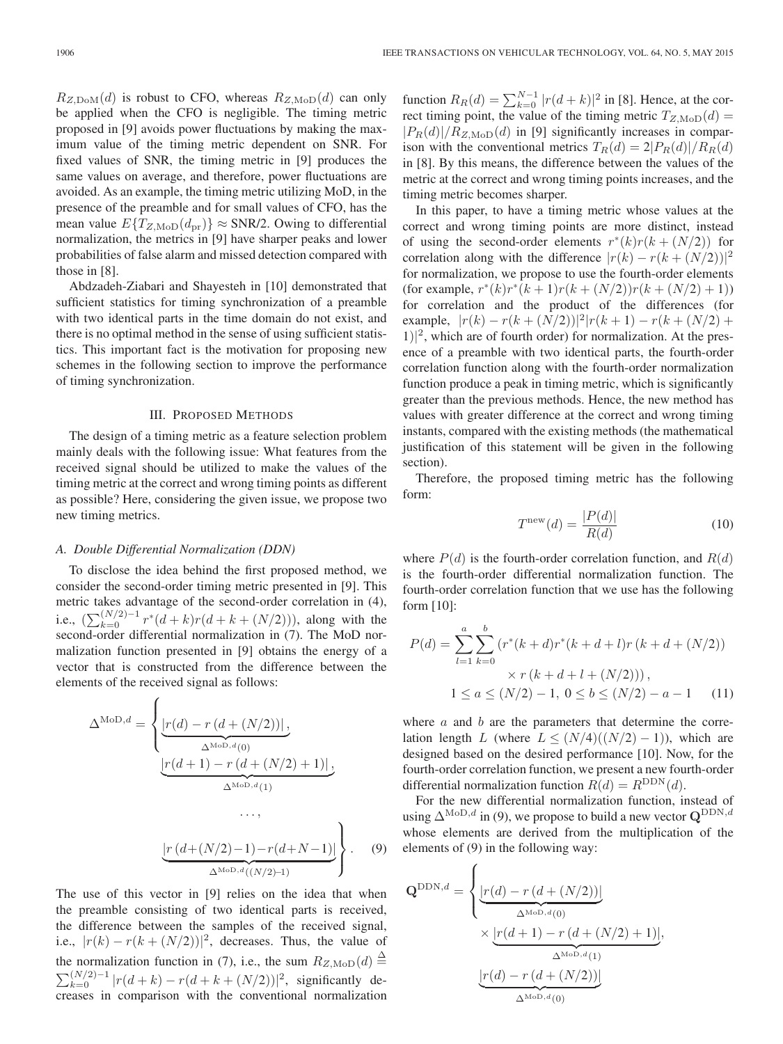$R_{Z, \text{DoM}}(d)$  is robust to CFO, whereas  $R_{Z, \text{MoD}}(d)$  can only be applied when the CFO is negligible. The timing metric proposed in [9] avoids power fluctuations by making the maximum value of the timing metric dependent on SNR. For fixed values of SNR, the timing metric in [9] produces the same values on average, and therefore, power fluctuations are avoided. As an example, the timing metric utilizing MoD, in the presence of the preamble and for small values of CFO, has the mean value  $E\{T_{Z, \text{MoD}}(d_{\text{pr}})\}\approx$  SNR/2. Owing to differential normalization, the metrics in [9] have sharper peaks and lower probabilities of false alarm and missed detection compared with those in [8].

Abdzadeh-Ziabari and Shayesteh in [10] demonstrated that sufficient statistics for timing synchronization of a preamble with two identical parts in the time domain do not exist, and there is no optimal method in the sense of using sufficient statistics. This important fact is the motivation for proposing new schemes in the following section to improve the performance of timing synchronization.

## III. PROPOSED METHODS

The design of a timing metric as a feature selection problem mainly deals with the following issue: What features from the received signal should be utilized to make the values of the timing metric at the correct and wrong timing points as different as possible? Here, considering the given issue, we propose two new timing metrics.

# *A. Double Differential Normalization (DDN)*

To disclose the idea behind the first proposed method, we consider the second-order timing metric presented in [9]. This metric takes advantage of the second-order correlation in (4), i.e.,  $(\sum_{k=0}^{(N/2)-1} r*(d+k)r(d+k+(N/2))),$  along with the second-order differential normalization in (7). The MoD normalization function presented in [9] obtains the energy of a vector that is constructed from the difference between the elements of the received signal as follows:

$$
\Delta^{\text{MoD},d} = \begin{cases} \frac{|r(d) - r(d + (N/2))|}{\Delta^{\text{MoD},d}(0)}, \\ \frac{|r(d+1) - r(d + (N/2) + 1)|}{\Delta^{\text{MoD},d}(1)}, \end{cases}
$$

$$
\underbrace{\left[r\left(d + (N/2) - 1\right) - r\left(d + N - 1\right)\right]}_{\Delta^{\text{MoD},d}((N/2) - 1)}\right\}.
$$
 (9)

...,

The use of this vector in [9] relies on the idea that when the preamble consisting of two identical parts is received, the difference between the samples of the received signal, i.e.,  $|r(k) - r(k + (N/2))|^2$ , decreases. Thus, the value of the normalization function in (7), i.e., the sum  $R_{Z,\text{MoD}}(d) \stackrel{\Delta}{=}$  $\sum_{k=0}^{(N/2)-1} |r(d+k) - r(d+k+(N/2))|^2$ , significantly decreases in comparison with the conventional normalization

function  $R_R(d) = \sum_{k=0}^{N-1} |r(d+k)|^2$  in [8]. Hence, at the correct timing point, the value of the timing metric  $T_{Z,\text{MoD}}(d) =$  $|P_R(d)|/R_{Z,\text{MoD}}(d)$  in [9] significantly increases in comparison with the conventional metrics  $T_R(d) = 2|P_R(d)|/R_R(d)$ in [8]. By this means, the difference between the values of the metric at the correct and wrong timing points increases, and the timing metric becomes sharper.

In this paper, to have a timing metric whose values at the correct and wrong timing points are more distinct, instead of using the second-order elements  $r^*(k)r(k + (N/2))$  for correlation along with the difference  $|r(k) - r(k + (N/2))|^{2}$ for normalization, we propose to use the fourth-order elements (for example,  $r^*(k)r^*(k+1)r(k+(N/2))r(k+(N/2)+1)$ ) for correlation and the product of the differences (for example,  $|r(k) - r(k + (N/2))|^2|r(k+1) - r(k + (N/2)) +$ 1)| <sup>2</sup>, which are of fourth order) for normalization. At the presence of a preamble with two identical parts, the fourth-order correlation function along with the fourth-order normalization function produce a peak in timing metric, which is significantly greater than the previous methods. Hence, the new method has values with greater difference at the correct and wrong timing instants, compared with the existing methods (the mathematical justification of this statement will be given in the following section).

Therefore, the proposed timing metric has the following form:

$$
Tnew(d) = \frac{|P(d)|}{R(d)}
$$
\n(10)

where  $P(d)$  is the fourth-order correlation function, and  $R(d)$ is the fourth-order differential normalization function. The fourth-order correlation function that we use has the following form [10]:

$$
P(d) = \sum_{l=1}^{a} \sum_{k=0}^{b} (r^*(k+d)r^*(k+d+l)r(k+d+(N/2)))
$$
  
 
$$
\times r(k+d+l+(N/2))),
$$
  
 
$$
1 \le a \le (N/2) - 1, 0 \le b \le (N/2) - a - 1
$$
 (11)

where  $a$  and  $b$  are the parameters that determine the correlation length L (where  $L \leq (N/4)((N/2) - 1)$ ), which are designed based on the desired performance [10]. Now, for the fourth-order correlation function, we present a new fourth-order differential normalization function  $R(d) = R^{DDN}(d)$ .

For the new differential normalization function, instead of using  $\Delta^{\text{MoD},d}$  in (9), we propose to build a new vector  $\mathbf{Q}^{\text{DDN},d}$ whose elements are derived from the multiplication of the elements of (9) in the following way:

$$
\mathbf{Q}^{\text{DDN},d} = \begin{cases} \frac{[r(d) - r(d + (N/2))]}{\Delta^{\text{MoD},d}(0)} \\ \times \frac{[r(d+1) - r(d + (N/2) + 1)]}{\Delta^{\text{MoD},d}(1)}, \\ \frac{[r(d) - r(d + (N/2))]}{\Delta^{\text{MoD},d}(0)} \end{cases}
$$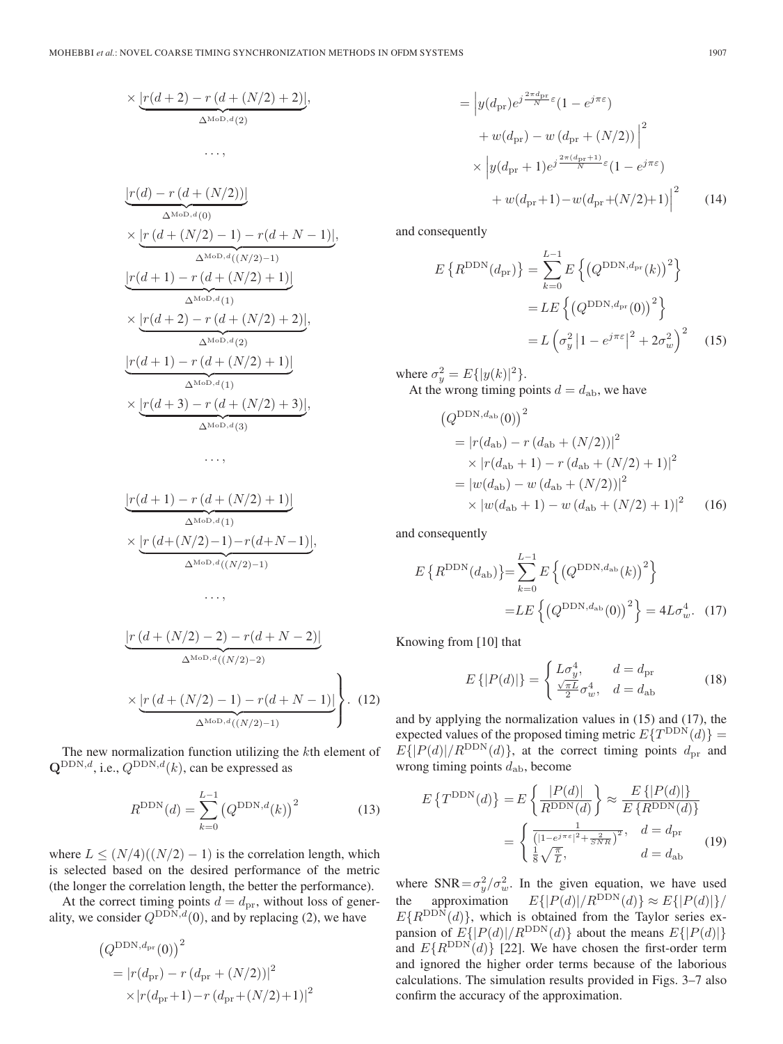$$
\times \underbrace{\left[r(d+2) - r(d + (N/2) + 2)\right]}_{\Delta^{\text{MoD},d}(2)},
$$
  
...

$$
\underbrace{\frac{|r(d) - r(d + (N/2))|}{\Delta^{\text{MoD},d}(0)}}_{\text{MMD},d(0)} \times \underbrace{\frac{|r(d + (N/2) - 1) - r(d + N - 1)|}{\Delta^{\text{MoD},d}((N/2) - 1)}}_{\Delta^{\text{MoD},d}(1)} \times \underbrace{\frac{|r(d + 1) - r(d + (N/2) + 1)|}{\Delta^{\text{MoD},d}(2)}}_{\Delta^{\text{MoD},d}(2)} \times \underbrace{\frac{|r(d + 1) - r(d + (N/2) + 1)|}{\Delta^{\text{MoD},d}(1)}}_{\Delta^{\text{MoD},d}(1)} \times \underbrace{\frac{|r(d + 3) - r(d + (N/2) + 3)|}{\Delta^{\text{MoD},d}(3)}}_{\Delta^{\text{MoD},d}(3)},
$$

...,

$$
\underbrace{|r(d+1) - r(d + (N/2) + 1)|}_{\Delta^{\text{MoD},d}(1)} \times \underbrace{|r(d + (N/2) - 1) - r(d + N - 1)|}_{\Delta^{\text{MoD},d}((N/2) - 1)},
$$
  
...

$$
\frac{\left|r\left(d + (N/2) - 2\right) - r(d + N - 2)\right|}{\Delta^{\text{MoD},d}((N/2) - 2)}
$$
\n
$$
\times \underbrace{\left|r\left(d + (N/2) - 1\right) - r(d + N - 1)\right|}_{\Delta^{\text{MoD},d}((N/2) - 1)}\right\}.
$$
\n(12)

The new normalization function utilizing the kth element of  $\mathbf{Q}^{\text{DDN},d}$ , i.e.,  $Q^{\text{DDN},d}(k)$ , can be expressed as

$$
R^{\text{DDN}}(d) = \sum_{k=0}^{L-1} (Q^{\text{DDN},d}(k))^2
$$
 (13)

where  $L \leq (N/4)((N/2) - 1)$  is the correlation length, which is selected based on the desired performance of the metric (the longer the correlation length, the better the performance).

At the correct timing points  $d = d_{\text{pr}}$ , without loss of generality, we consider  $Q^{\text{DDN},d}(0)$ , and by replacing (2), we have

$$
(Q^{\text{DDN}, d_{\text{pr}}}(0))^{2}
$$
  
=  $|r(d_{\text{pr}}) - r(d_{\text{pr}} + (N/2))|^{2}$   
 $\times |r(d_{\text{pr}}+1) - r(d_{\text{pr}} + (N/2) + 1)|^{2}$ 

$$
= \left| y(d_{\text{pr}}) e^{j\frac{2\pi d_{\text{pr}}}{N}\varepsilon} (1 - e^{j\pi\varepsilon}) \right|
$$
  
+  $w(d_{\text{pr}}) - w(d_{\text{pr}} + (N/2)) \Big|^2$   

$$
\times \left| y(d_{\text{pr}} + 1) e^{j\frac{2\pi (d_{\text{pr}} + 1)}{N}\varepsilon} (1 - e^{j\pi\varepsilon}) \right|
$$
  
+  $w(d_{\text{pr}} + 1) - w(d_{\text{pr}} + (N/2) + 1) \Big|^2$  (14)

and consequently

$$
E\left\{R^{\text{DDN}}(d_{\text{pr}})\right\} = \sum_{k=0}^{L-1} E\left\{ \left(Q^{\text{DDN}, d_{\text{pr}}}(k)\right)^2 \right\}
$$

$$
= LE\left\{ \left(Q^{\text{DDN}, d_{\text{pr}}}(0)\right)^2 \right\}
$$

$$
= L\left(\sigma_y^2 |1 - e^{j\pi\varepsilon}|^2 + 2\sigma_w^2\right)^2 \quad (15)
$$

where  $\sigma_y^2 = E{ |y(k)|^2 }$ . At the wrong timing points  $d = d_{ab}$ , we have

$$
(Q^{\text{DDN}, d_{\text{ab}}}(0))^2
$$
  
=  $|r(d_{\text{ab}}) - r(d_{\text{ab}} + (N/2))|^2$   
 $\times |r(d_{\text{ab}} + 1) - r(d_{\text{ab}} + (N/2) + 1)|^2$   
=  $|w(d_{\text{ab}}) - w(d_{\text{ab}} + (N/2))|^2$   
 $\times |w(d_{\text{ab}} + 1) - w(d_{\text{ab}} + (N/2) + 1)|^2$  (16)

and consequently

$$
E\left\{R^{\text{DDN}}(d_{\text{ab}})\right\} = \sum_{k=0}^{L-1} E\left\{ \left(Q^{\text{DDN}, d_{\text{ab}}}(k)\right)^2 \right\}
$$

$$
= LE\left\{ \left(Q^{\text{DDN}, d_{\text{ab}}}(0)\right)^2 \right\} = 4L\sigma_w^4. (17)
$$

Knowing from [10] that

$$
E\{|P(d)|\} = \begin{cases} L\sigma_y^4, & d = d_{\text{pr}}\\ \frac{\sqrt{\pi L}}{2}\sigma_w^4, & d = d_{\text{ab}} \end{cases}
$$
(18)

and by applying the normalization values in (15) and (17), the expected values of the proposed timing metric  $E\{T^{\text{DDN}}(d)\}$  =  $E\{|P(d)|/R^{\text{DDN}}(d)\}\text{, at the correct timing points }d_{\text{pr}}$  and wrong timing points  $d_{ab}$ , become

$$
E\left\{T^{\text{DDN}}(d)\right\} = E\left\{\frac{|P(d)|}{R^{\text{DDN}}(d)}\right\} \approx \frac{E\left\{|P(d)|\right\}}{E\left\{R^{\text{DDN}}(d)\right\}} = \begin{cases} \frac{1}{\left(|1 - e^{j\pi\varepsilon}|^2 + \frac{2}{SNR}\right)^2}, & d = d_{\text{pr}}\\ \frac{1}{8}\sqrt{\frac{\pi}{L}}, & d = d_{\text{ab}} \end{cases}
$$
(19)

where SNR =  $\sigma_y^2/\sigma_w^2$ . In the given equation, we have used the approximation  $E\{|P(d)|/R^{\text{DDN}}(d)\}\approx E\{|P(d)|\}/R^{\text{DDN}}$  $E\{R^{\text{DDN}}(d)\}\,$ , which is obtained from the Taylor series expansion of  $E\{|P(d)|/R^{\text{DDN}}(d)\}\$  about the means  $E\{|P(d)|\}$ and  $E\{R^{\text{DDN}}(d)\}\$  [22]. We have chosen the first-order term and ignored the higher order terms because of the laborious calculations. The simulation results provided in Figs. 3–7 also confirm the accuracy of the approximation.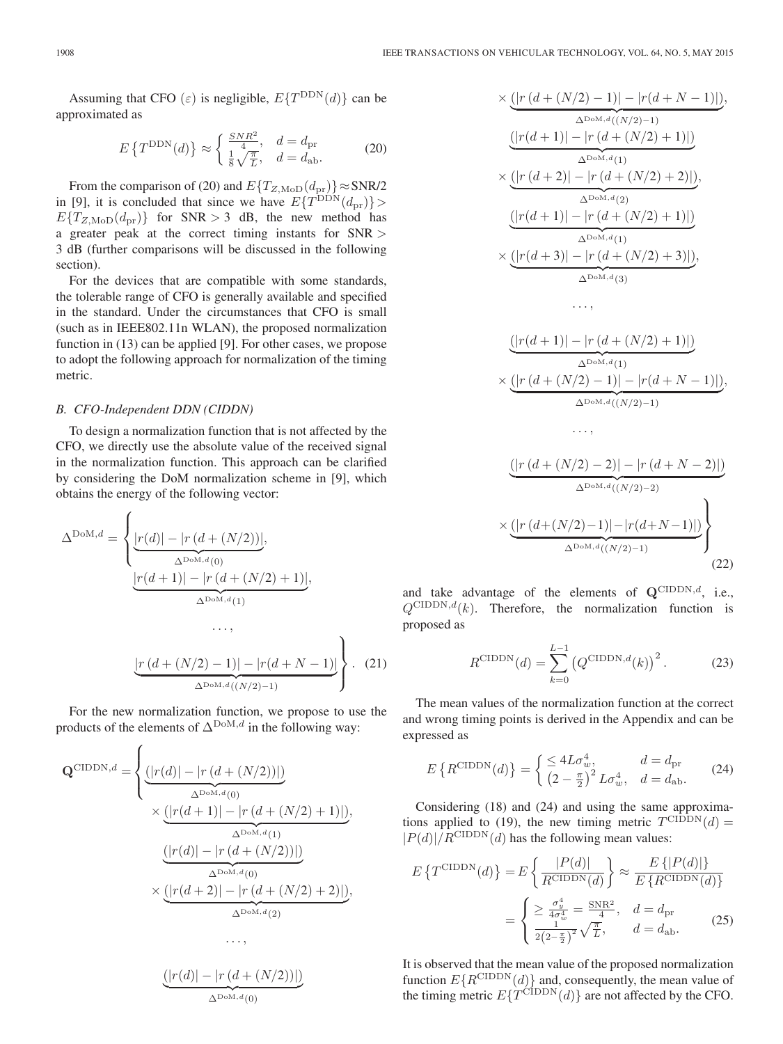Assuming that CFO ( $\varepsilon$ ) is negligible,  $E\{T^{\text{DDN}}(d)\}\)$  can be approximated as

$$
E\left\{T^{\text{DDN}}(d)\right\} \approx \begin{cases} \frac{SNR^2}{4}, & d = d_{\text{pr}}\\ \frac{1}{8}\sqrt{\frac{\pi}{L}}, & d = d_{\text{ab}}. \end{cases}
$$
 (20)

From the comparison of (20) and  $E\{T_{Z, \text{MoD}}(d_{\text{pr}})\}\approx$  SNR/2 in [9], it is concluded that since we have  $E\{T^{\text{DDN}}(d_{\text{pr}})\}\$  $E\{T_{Z,\text{MoD}}(d_{\text{pr}})\}\$  for SNR > 3 dB, the new method has a greater peak at the correct timing instants for SNR > 3 dB (further comparisons will be discussed in the following section).

For the devices that are compatible with some standards, the tolerable range of CFO is generally available and specified in the standard. Under the circumstances that CFO is small (such as in IEEE802.11n WLAN), the proposed normalization function in (13) can be applied [9]. For other cases, we propose to adopt the following approach for normalization of the timing metric.

### *B. CFO-Independent DDN (CIDDN)*

To design a normalization function that is not affected by the CFO, we directly use the absolute value of the received signal in the normalization function. This approach can be clarified by considering the DoM normalization scheme in [9], which obtains the energy of the following vector:

$$
\Delta^{\text{DoM},d} = \left\{ \underbrace{|r(d)| - |r(d + (N/2))|}_{\Delta^{\text{DoM},d}(0)}, \underbrace{|r(d+1)| - |r(d + (N/2) + 1)|}_{\Delta^{\text{DoM},d}(1)}, \dots, \underbrace{|r(d + (N/2) - 1)| - |r(d + N - 1)|}_{\Delta^{\text{DoM},d}((N/2) - 1)} \right\}.
$$
 (21)

For the new normalization function, we propose to use the products of the elements of  $\Delta^{DoM,d}$  in the following way:

$$
\mathbf{Q}^{\text{CIDDN},d} = \begin{cases} \underbrace{(|r(d)| - |r(d + (N/2))|)}_{\Delta^{\text{DOM},d}(0)} \\ \times \underbrace{(|r(d+1)| - |r(d + (N/2) + 1)|)}_{\Delta^{\text{DOM},d}(1)}, \\ \underbrace{(|r(d)| - |r(d + (N/2))|)}_{\Delta^{\text{DOM},d}(0)} \\ \times \underbrace{(|r(d+2)| - |r(d + (N/2) + 2)|)}_{\Delta^{\text{DOM},d}(2)}, \\ \dots, \end{cases}
$$

$$
\underbrace{(|r(d)| - |r(d + (N/2))|)}_{\Delta^{\text{DoM},d}(0)}
$$

$$
\times \underbrace{(\left|r(d + (N/2) - 1)\right| - \left|r(d + N - 1)\right|)}_{\Delta^{\text{DoM},d}((N/2) - 1)},
$$
\n
$$
\underbrace{(\left|r(d + 1)\right| - \left|r(d + (N/2) + 1)\right|)}_{\Delta^{\text{DoM},d}(1)} \times \underbrace{(\left|r(d + 2)\right| - \left|r(d + (N/2) + 2)\right|)}_{\Delta^{\text{DoM},d}(2)},
$$
\n
$$
\underbrace{(\left|r(d + 1)\right| - \left|r(d + (N/2) + 1)\right|)}_{\Delta^{\text{DoM},d}(1)} \times \underbrace{(\left|r(d + 3)\right| - \left|r(d + (N/2) + 3)\right|)}_{\Delta^{\text{DoM},d}(3)},
$$
\n...

$$
\underbrace{(|r(d+1)|-|r(d+(N/2)+1)|)}_{\Delta^{\text{D}\text{-M},d}(1)}\times\underbrace{(|r(d+(N/2)-1)|-|r(d+N-1)|)}_{\Delta^{\text{D}\text{-M},d}((N/2)-1)},
$$

...,

$$
\underbrace{\frac{(|r (d + (N/2) - 2)| - |r (d + N - 2)|)}{\Delta^{\text{DoM},d}((N/2) - 2)}}_{\Delta^{\text{DoM},d}((N/2) - 1)} \times \underbrace{\frac{(|r (d + (N/2) - 1)| - |r (d + N - 1)|)}{\Delta^{\text{DoM},d}((N/2) - 1)}}_{(22)}
$$

and take advantage of the elements of  $Q^{\text{CIDDN},d}$ , i.e.,  $Q^{\text{CIDDN},d}(k)$ . Therefore, the normalization function is proposed as

$$
R^{\text{CIDDN}}(d) = \sum_{k=0}^{L-1} (Q^{\text{CIDDN}, d}(k))^2.
$$
 (23)

The mean values of the normalization function at the correct and wrong timing points is derived in the Appendix and can be expressed as

$$
E\left\{R^{\text{CIDDN}}(d)\right\} = \begin{cases} \leq 4L\sigma_w^4, & d = d_{\text{pr}}\\ \left(2 - \frac{\pi}{2}\right)^2 L\sigma_w^4, & d = d_{\text{ab}}. \end{cases}
$$
(24)

Considering (18) and (24) and using the same approximations applied to (19), the new timing metric  $T^{\text{CIDDN}}(d)$  =  $|P(d)|/R^{\text{CIDDN}}(d)$  has the following mean values:

$$
E\left\{T^{\text{CIDDN}}(d)\right\} = E\left\{\frac{|P(d)|}{R^{\text{CIDDN}}(d)}\right\} \approx \frac{E\left\{|P(d)|\right\}}{E\left\{R^{\text{CIDDN}}(d)\right\}} = \begin{cases} \geq \frac{\sigma_y^4}{4\sigma_w^4} = \frac{\text{SNR}^2}{4}, & d = d_{\text{pr}}\\ \frac{1}{2(2-\frac{\pi}{2})^2}\sqrt{\frac{\pi}{L}}, & d = d_{\text{ab}}. \end{cases}
$$
(25)

It is observed that the mean value of the proposed normalization function  $E\{R^{\text{CIDDN}}(d)\}\$  and, consequently, the mean value of the timing metric  $E\{T^{\text{CIDDN}}(d)\}\$  are not affected by the CFO.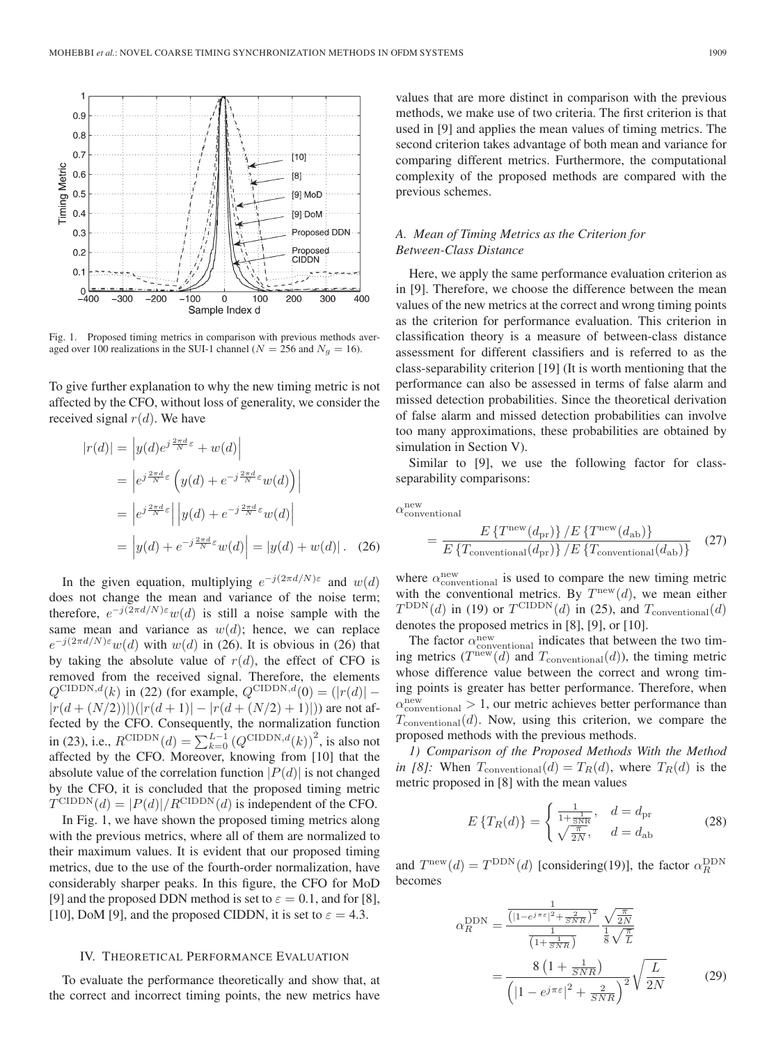

Fig. 1. Proposed timing metrics in comparison with previous methods averaged over 100 realizations in the SUI-1 channel ( $N = 256$  and  $N<sub>g</sub> = 16$ ).

To give further explanation to why the new timing metric is not affected by the CFO, without loss of generality, we consider the received signal  $r(d)$ . We have

$$
|r(d)| = |y(d)e^{j\frac{2\pi d}{N}\varepsilon} + w(d)|
$$
  
\n
$$
= |e^{j\frac{2\pi d}{N}\varepsilon} (y(d) + e^{-j\frac{2\pi d}{N}\varepsilon}w(d))|
$$
  
\n
$$
= |e^{j\frac{2\pi d}{N}\varepsilon}| |y(d) + e^{-j\frac{2\pi d}{N}\varepsilon}w(d)|
$$
  
\n
$$
= |y(d) + e^{-j\frac{2\pi d}{N}\varepsilon}w(d)| = |y(d) + w(d)|. (26)
$$

In the given equation, multiplying  $e^{-j(2\pi d/N)\varepsilon}$  and  $w(d)$ does not change the mean and variance of the noise term; therefore,  $e^{-j(2\pi d/N)\epsilon}w(d)$  is still a noise sample with the same mean and variance as  $w(d)$ ; hence, we can replace  $e^{-j(2\pi d/N)\varepsilon}$  w(d) with  $w(d)$  in (26). It is obvious in (26) that by taking the absolute value of  $r(d)$ , the effect of CFO is removed from the received signal. Therefore, the elements  $Q^{\text{CIDDN},d}(k)$  in (22) (for example,  $Q^{\text{CIDDN},d}(0)=\left(|r(d)|-1\right)$  $|r(d + (N/2))|(|r(d+1)| - |r(d + (N/2) + 1)|))$  are not affected by the CFO. Consequently, the normalization function in (23), i.e.,  $R^{\text{CIDDN}}(d) = \sum_{k=0}^{L-1} (Q^{\text{CIDDN},d}(k))^2$ , is also not affected by the CFO. Moreover, knowing from [10] that the absolute value of the correlation function  $|P(d)|$  is not changed by the CFO, it is concluded that the proposed timing metric  $T^{\text{CIDDN}}(d) = |P(d)|/R^{\text{CIDDN}}(d)$  is independent of the CFO.

In Fig. 1, we have shown the proposed timing metrics along with the previous metrics, where all of them are normalized to their maximum values. It is evident that our proposed timing metrics, due to the use of the fourth-order normalization, have considerably sharper peaks. In this figure, the CFO for MoD [9] and the proposed DDN method is set to  $\varepsilon = 0.1$ , and for [8], [10], DoM [9], and the proposed CIDDN, it is set to  $\varepsilon = 4.3$ .

# IV. THEORETICAL PERFORMANCE EVALUATION

To evaluate the performance theoretically and show that, at the correct and incorrect timing points, the new metrics have

values that are more distinct in comparison with the previous methods, we make use of two criteria. The first criterion is that used in [9] and applies the mean values of timing metrics. The second criterion takes advantage of both mean and variance for comparing different metrics. Furthermore, the computational complexity of the proposed methods are compared with the previous schemes.

# *A. Mean of Timing Metrics as the Criterion for Between-Class Distance*

Here, we apply the same performance evaluation criterion as in [9]. Therefore, we choose the difference between the mean values of the new metrics at the correct and wrong timing points as the criterion for performance evaluation. This criterion in classification theory is a measure of between-class distance assessment for different classifiers and is referred to as the class-separability criterion [19] (It is worth mentioning that the performance can also be assessed in terms of false alarm and missed detection probabilities. Since the theoretical derivation of false alarm and missed detection probabilities can involve too many approximations, these probabilities are obtained by simulation in Section V).

Similar to [9], we use the following factor for classseparability comparisons:

 $\alpha_{\rm conventional}^{\rm new}$ 

$$
= \frac{E\left\{T^{\text{new}}(d_{\text{pr}})\right\}/E\left\{T^{\text{new}}(d_{\text{ab}})\right\}}{E\left\{T_{\text{conventional}}(d_{\text{pr}})\right\}/E\left\{T_{\text{conventional}}(d_{\text{ab}})\right\}}\tag{27}
$$

where  $\alpha_{\rm conventional}^{\rm new}$  is used to compare the new timing metric with the conventional metrics. By  $T<sup>new</sup>(d)$ , we mean either  $T^{\text{DDN}}(d)$  in (19) or  $T^{\text{CIDDN}}(d)$  in (25), and  $T_{\text{conventional}}(d)$ denotes the proposed metrics in [8], [9], or [10].

The factor  $\alpha_{\rm conventional}^{\rm new}$  indicates that between the two timing metrics  $(T^{new}(d)$  and  $T_{conventional}(d)$ , the timing metric whose difference value between the correct and wrong timing points is greater has better performance. Therefore, when  $\alpha_{\rm conventional}^{\rm new} > 1$ , our metric achieves better performance than  $T_{\text{conventional}}(d)$ . Now, using this criterion, we compare the proposed methods with the previous methods.

*1) Comparison of the Proposed Methods With the Method in [8]:* When  $T_{\text{conventional}}(d) = T_R(d)$ , where  $T_R(d)$  is the metric proposed in [8] with the mean values

$$
E\left\{T_R(d)\right\} = \begin{cases} \frac{1}{1 + \frac{1}{SNR}}, & d = d_{\text{pr}}\\ \sqrt{\frac{\pi}{2N}}, & d = d_{\text{ab}} \end{cases}
$$
 (28)

and  $T^{\text{new}}(d) = T^{\text{DDN}}(d)$  [considering(19)], the factor  $\alpha_R^{\text{DDN}}$ becomes

$$
\alpha_R^{\text{DDN}} = \frac{\frac{1}{\left( |1 - e^{j\pi \varepsilon}|^2 + \frac{2}{SNR} \right)^2}}{\frac{1}{\left( 1 + \frac{1}{SNR} \right)}} \frac{\sqrt{\frac{\pi}{2N}}}{\frac{1}{8} \sqrt{\frac{\pi}{L}}}
$$

$$
= \frac{8 \left( 1 + \frac{1}{SNR} \right)}{\left( |1 - e^{j\pi \varepsilon}|^2 + \frac{2}{SNR} \right)^2} \sqrt{\frac{L}{2N}} \tag{29}
$$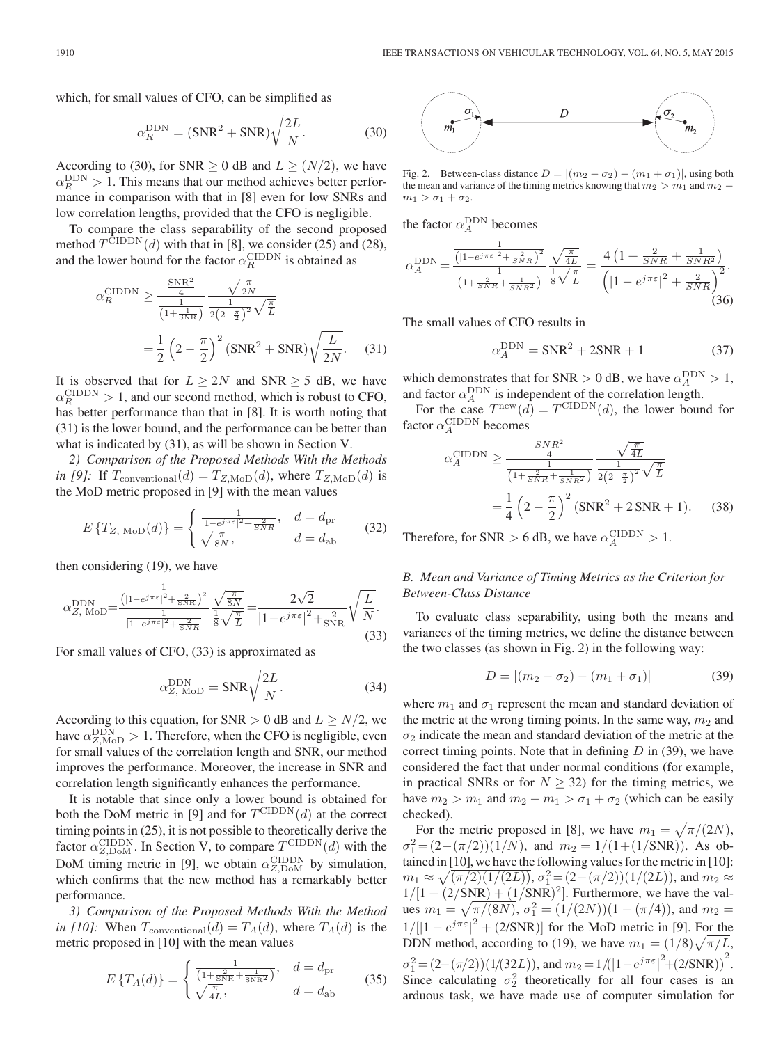which, for small values of CFO, can be simplified as

$$
\alpha_R^{\text{DDN}} = (\text{SNR}^2 + \text{SNR}) \sqrt{\frac{2L}{N}}.
$$
 (30)

According to (30), for SNR  $\geq$  0 dB and  $L \geq (N/2)$ , we have  $\alpha_R^{\text{DDN}} > 1$ . This means that our method achieves better performance in comparison with that in [8] even for low SNRs and low correlation lengths, provided that the CFO is negligible.

To compare the class separability of the second proposed method  $T^{\text{CIDDN}}(d)$  with that in [8], we consider (25) and (28), and the lower bound for the factor  $\alpha_R^{\text{CIDDN}}$  is obtained as

$$
\alpha_R^{\text{CIDDN}} \ge \frac{\frac{\text{SNR}^2}{4}}{\frac{1}{(1+\frac{1}{\text{SNR}})} \frac{1}{2(2-\frac{\pi}{2})^2} \sqrt{\frac{\pi}{L}}}
$$

$$
= \frac{1}{2} \left(2 - \frac{\pi}{2}\right)^2 (\text{SNR}^2 + \text{SNR}) \sqrt{\frac{L}{2N}}.
$$
(31)

It is observed that for  $L \geq 2N$  and SNR  $\geq 5$  dB, we have  $\alpha_R^{\text{CIDDN}} > 1$ , and our second method, which is robust to CFO, has better performance than that in [8]. It is worth noting that (31) is the lower bound, and the performance can be better than what is indicated by (31), as will be shown in Section V.

*2) Comparison of the Proposed Methods With the Methods in [9]:* If  $T_{\text{conventional}}(d) = T_{Z,\text{MoD}}(d)$ , where  $T_{Z,\text{MoD}}(d)$  is the MoD metric proposed in [9] with the mean values

$$
E\left\{T_{Z,\text{MOD}}(d)\right\} = \begin{cases} \frac{1}{|1 - e^{j\pi\varepsilon}|^2 + \frac{2}{SNR}}, & d = d_{\text{pr}}\\ \sqrt{\frac{\pi}{8N}}, & d = d_{\text{ab}} \end{cases}
$$
(32)

then considering (19), we have

$$
\alpha_{Z,\text{MoD}}^{\text{DDN}} = \frac{\frac{1}{\left(|1 - e^{j\pi\varepsilon}|^2 + \frac{2}{\text{SNR}}\right)^2}}{\frac{1}{|1 - e^{j\pi\varepsilon}|^2 + \frac{2}{\text{SNR}}}} \frac{\sqrt{\frac{\pi}{8N}}}{\frac{1}{8}\sqrt{\frac{\pi}{L}}} = \frac{2\sqrt{2}}{|1 - e^{j\pi\varepsilon}|^2 + \frac{2}{\text{SNR}}}\sqrt{\frac{L}{N}}.\tag{33}
$$

For small values of CFO, (33) is approximated as

$$
\alpha_{Z, \text{ MoD}}^{\text{DDN}} = \text{SNR} \sqrt{\frac{2L}{N}}.
$$
 (34)

According to this equation, for SNR > 0 dB and  $L \ge N/2$ , we have  $\alpha_{Z, \text{MoD}}^{\text{DDN}} > 1$ . Therefore, when the CFO is negligible, even for small values of the correlation length and SNR, our method improves the performance. Moreover, the increase in SNR and correlation length significantly enhances the performance.

It is notable that since only a lower bound is obtained for both the DoM metric in [9] and for  $T^{\text{CIDDN}}(d)$  at the correct timing points in (25), it is not possible to theoretically derive the factor  $\alpha_{Z, \text{DoM}}^{\text{CIDDN}}$ . In Section V, to compare  $T^{\text{CIDDN}}(d)$  with the DoM timing metric in [9], we obtain  $\alpha_{Z, \text{DoM}}^{\text{CIDDN}}$  by simulation, which confirms that the new method has a remarkably better performance.

*3) Comparison of the Proposed Methods With the Method in [10]:* When  $T_{\text{conventional}}(d) = T_A(d)$ , where  $T_A(d)$  is the metric proposed in [10] with the mean values

$$
E\left\{T_A(d)\right\} = \begin{cases} \frac{1}{\left(1 + \frac{2}{\text{SNR}} + \frac{1}{\text{SNR}^2}\right)}, & d = d_{\text{pr}}\\ \sqrt{\frac{\pi}{4L}}, & d = d_{\text{ab}} \end{cases}
$$
(35)



Fig. 2. Between-class distance  $D = |(m_2 - \sigma_2) - (m_1 + \sigma_1)|$ , using both the mean and variance of the timing metrics knowing that  $m_2 > m_1$  and  $m_2$  −  $m_1 > \sigma_1 + \sigma_2$ .

the factor  $\alpha_A^{\text{DDN}}$  becomes

$$
\alpha_A^{\text{DDN}} = \frac{\frac{1}{\left( |1 - e^{j\pi\varepsilon}|^2 + \frac{2}{SNR} \right)^2}}{\frac{1}{\left( 1 + \frac{2}{SNR} + \frac{1}{SNR^2} \right)}} \frac{\sqrt{\frac{\pi}{4L}}}{\frac{1}{8}\sqrt{\frac{\pi}{L}}} = \frac{4\left( 1 + \frac{2}{SNR} + \frac{1}{SNR^2} \right)}{\left( |1 - e^{j\pi\varepsilon}|^2 + \frac{2}{SNR} \right)^2}.
$$
\n(36)

The small values of CFO results in

$$
\alpha_A^{\text{DDN}} = \text{SNR}^2 + 2\text{SNR} + 1\tag{37}
$$

which demonstrates that for SNR  $> 0$  dB, we have  $\alpha_A^{\text{DDN}} > 1$ , and factor  $\alpha_A^{\text{DDN}}$  is independent of the correlation length.

For the case  $T<sup>new</sup>(d) = T<sup>CIDDN</sup>(d)$ , the lower bound for factor  $\alpha_A^{\text{CIDDN}}$  becomes

$$
\alpha_A^{\text{CIDDN}} \ge \frac{\frac{SNR^2}{4}}{\frac{1}{\left(1 + \frac{2}{SNR} + \frac{1}{SNR^2}\right)}} \frac{\sqrt{\frac{\pi}{4L}}}{2\left(2 - \frac{\pi}{2}\right)^2} \sqrt{\frac{\pi}{L}}
$$

$$
= \frac{1}{4} \left(2 - \frac{\pi}{2}\right)^2 \left(\text{SNR}^2 + 2\text{SNR} + 1\right). \tag{38}
$$

Therefore, for SNR > 6 dB, we have  $\alpha_A^{\text{CIDDN}} > 1$ .

# *B. Mean and Variance of Timing Metrics as the Criterion for Between-Class Distance*

To evaluate class separability, using both the means and variances of the timing metrics, we define the distance between the two classes (as shown in Fig. 2) in the following way:

$$
D = |(m_2 - \sigma_2) - (m_1 + \sigma_1)| \tag{39}
$$

where  $m_1$  and  $\sigma_1$  represent the mean and standard deviation of the metric at the wrong timing points. In the same way,  $m_2$  and  $\sigma_2$  indicate the mean and standard deviation of the metric at the correct timing points. Note that in defining  $D$  in (39), we have considered the fact that under normal conditions (for example, in practical SNRs or for  $N \geq 32$ ) for the timing metrics, we have  $m_2 > m_1$  and  $m_2 - m_1 > \sigma_1 + \sigma_2$  (which can be easily checked).

For the metric proposed in [8], we have  $m_1 = \sqrt{\pi/(2N)}$ ,  $\sigma_1^2 = (2 - (\pi/2))(1/N)$ , and  $m_2 = 1/(1 + (1/SNR))$ . As obtained in [10], we have the following values for the metric in [10]:  $m_1 \approx \sqrt{(\pi/2)(1/(2L))}$ ,  $\sigma_1^2 = (2 - (\pi/2))(1/(2L))$ , and  $m_2 \approx$  $1/[1 + (2/SNR) + (1/SNR)^2]$ . Furthermore, we have the values  $m_1 = \sqrt{\pi/(8N)}$ ,  $\sigma_1^2 = (1/(2N))(1 - (\pi/4))$ , and  $m_2 =$  $1/[[1 - e^{j\pi\varepsilon}]^2 + (2/\text{SNR})]$  for the MoD metric in [9]. For the DDN method, according to (19), we have  $m_1 = (1/8)\sqrt{\pi/L}$ ,  $\sigma_1^2 = (2 - (\pi/2))(1/(32L))$ , and  $m_2 = 1/((1 - e^{j\pi \varepsilon})^2 + (2/\text{SNR}))^2$ . Since calculating  $\sigma_2^2$  theoretically for all four cases is an arduous task, we have made use of computer simulation for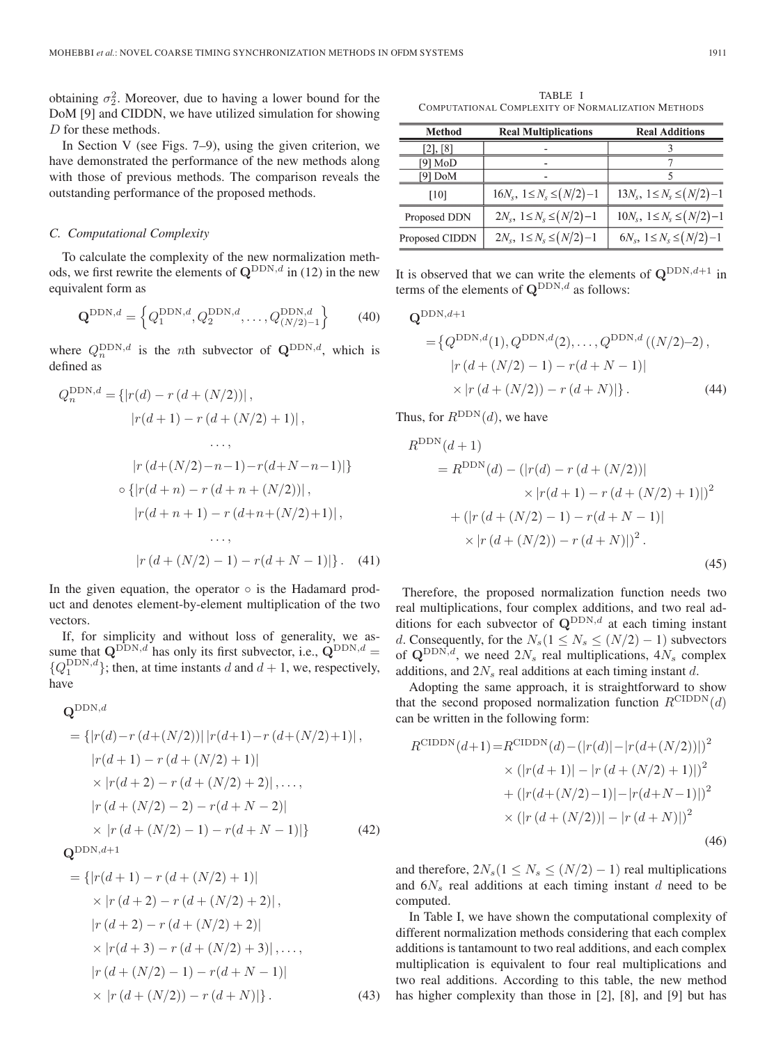obtaining  $\sigma_2^2$ . Moreover, due to having a lower bound for the DoM [9] and CIDDN, we have utilized simulation for showing D for these methods.

In Section V (see Figs. 7–9), using the given criterion, we have demonstrated the performance of the new methods along with those of previous methods. The comparison reveals the outstanding performance of the proposed methods.

# *C. Computational Complexity*

To calculate the complexity of the new normalization methods, we first rewrite the elements of  $\mathbf{Q}^{\text{DDN},d}$  in (12) in the new equivalent form as

$$
\mathbf{Q}^{\text{DDN},d} = \left\{ Q_1^{\text{DDN},d}, Q_2^{\text{DDN},d}, \dots, Q_{(N/2)-1}^{\text{DDN},d} \right\}
$$
(40)

where  $Q_n^{\text{DDN},d}$  is the *n*th subvector of  $\mathbf{Q}^{\text{DDN},d}$ , which is defined as

$$
Q_n^{\text{DDN},d} = \{ |r(d) - r(d + (N/2))|,
$$
  
\n
$$
|r(d+1) - r(d + (N/2) + 1)|,
$$
  
\n...,  
\n
$$
|r(d + (N/2) - n - 1) - r(d + N - n - 1)| \}
$$
  
\n
$$
\circ \{ |r(d+n) - r(d+n + (N/2))|,
$$
  
\n
$$
|r(d+n+1) - r(d+n + (N/2) + 1)|,
$$
  
\n...,  
\n
$$
|r(d + (N/2) - 1) - r(d + N - 1)| \}.
$$
 (41)

In the given equation, the operator  $\circ$  is the Hadamard product and denotes element-by-element multiplication of the two vectors.

If, for simplicity and without loss of generality, we assume that  $\mathbf{Q}^{\text{DDN},d}$  has only its first subvector, i.e.,  $\mathbf{Q}^{\text{DDN},d}$  ${Q_1^{\text{DDN},d}}$ ; then, at time instants d and  $d+1$ , we, respectively, have

# $\mathbf{Q}^{\text{DDN},d}$

$$
= \{ |r(d) - r(d + (N/2))| |r(d+1) - r(d + (N/2) + 1)|,
$$
  
\n
$$
|r(d+1) - r(d + (N/2) + 1)|
$$
  
\n
$$
\times |r(d+2) - r(d + (N/2) + 2)|, ...,
$$
  
\n
$$
|r(d + (N/2) - 2) - r(d + N - 2)|
$$
  
\n
$$
\times |r(d + (N/2) - 1) - r(d + N - 1)| \}
$$
(42)

 $\mathbf{Q}^{\text{DDN},d+1}$ 

$$
= \{|r(d+1) - r(d + (N/2) + 1)|
$$
  
\n
$$
\times |r(d+2) - r(d + (N/2) + 2)|,
$$
  
\n
$$
|r(d+2) - r(d + (N/2) + 2)|
$$
  
\n
$$
\times |r(d+3) - r(d + (N/2) + 3)|, ...,
$$
  
\n
$$
|r(d + (N/2) - 1) - r(d + N - 1)|
$$
  
\n
$$
\times |r(d + (N/2)) - r(d + N)| \}.
$$
 (43)

TABLE I COMPUTATIONAL COMPLEXITY OF NORMALIZATION METHODS

| <b>Method</b>  | <b>Real Multiplications</b>          | <b>Real Additions</b>                 |
|----------------|--------------------------------------|---------------------------------------|
| [2], [8]       |                                      |                                       |
| [9] MoD        |                                      |                                       |
| [9] DoM        |                                      |                                       |
| [10]           | $16N_s$ , $1 \le N_s \le (N/2) - 1$  | $13N_s$ , $1 \le N_s \le (N/2) - 1$   |
| Proposed DDN   | $2N_s$ , $1 \leq N_s \leq (N/2) - 1$ | $10N_s$ , $1 \leq N_s \leq (N/2) - 1$ |
| Proposed CIDDN | $2N_s$ , $1 \leq N_s \leq (N/2)-1$   | $6N_s$ , $1 \leq N_s \leq (N/2)-1$    |

It is observed that we can write the elements of  $Q^{\text{DDN},d+1}$  in terms of the elements of  $\mathbf{Q}^{\text{DDN},d}$  as follows:

$$
\mathbf{Q}^{\text{DDN},d+1} = \{Q^{\text{DDN},d}(1), Q^{\text{DDN},d}(2), \dots, Q^{\text{DDN},d}((N/2)-2),
$$
  
\n
$$
|r(d + (N/2) - 1) - r(d + N - 1)|
$$
  
\n
$$
\times |r(d + (N/2)) - r(d + N)| \}.
$$
 (44)

Thus, for  $R^{\text{DDN}}(d)$ , we have

$$
R^{\text{DDN}}(d+1)
$$
  
=  $R^{\text{DDN}}(d) - (|r(d) - r(d + (N/2))|$   
 $\times |r(d+1) - r(d + (N/2) + 1)|)^2$   
+  $(|r(d + (N/2) - 1) - r(d + N - 1)|$   
 $\times |r(d + (N/2)) - r(d + N)|)^2$ . (45)

Therefore, the proposed normalization function needs two real multiplications, four complex additions, and two real additions for each subvector of  $\mathbf{Q}^{\text{DDN},d}$  at each timing instant d. Consequently, for the  $N_s(1 \le N_s \le (N/2) - 1)$  subvectors of  $\mathbf{Q}^{\text{DDN},d}$ , we need  $2N_s$  real multiplications,  $4N_s$  complex additions, and  $2N<sub>s</sub>$  real additions at each timing instant d.

Adopting the same approach, it is straightforward to show that the second proposed normalization function  $R^{\text{CIDDN}}(d)$ can be written in the following form:

$$
R^{\text{CIDDN}}(d+1) = R^{\text{CIDDN}}(d) - (|r(d)| - |r(d + (N/2))|)^2
$$
  
 
$$
\times (|r(d+1)| - |r(d + (N/2) + 1)|)^2
$$
  
 
$$
+ (|r(d + (N/2) - 1)| - |r(d + N - 1)|)^2
$$
  
 
$$
\times (|r(d + (N/2))| - |r(d + N)|)^2
$$
(46)

and therefore,  $2N_s(1 \leq N_s \leq (N/2) - 1)$  real multiplications and  $6N<sub>s</sub>$  real additions at each timing instant d need to be computed.

In Table I, we have shown the computational complexity of different normalization methods considering that each complex additions is tantamount to two real additions, and each complex multiplication is equivalent to four real multiplications and two real additions. According to this table, the new method has higher complexity than those in [2], [8], and [9] but has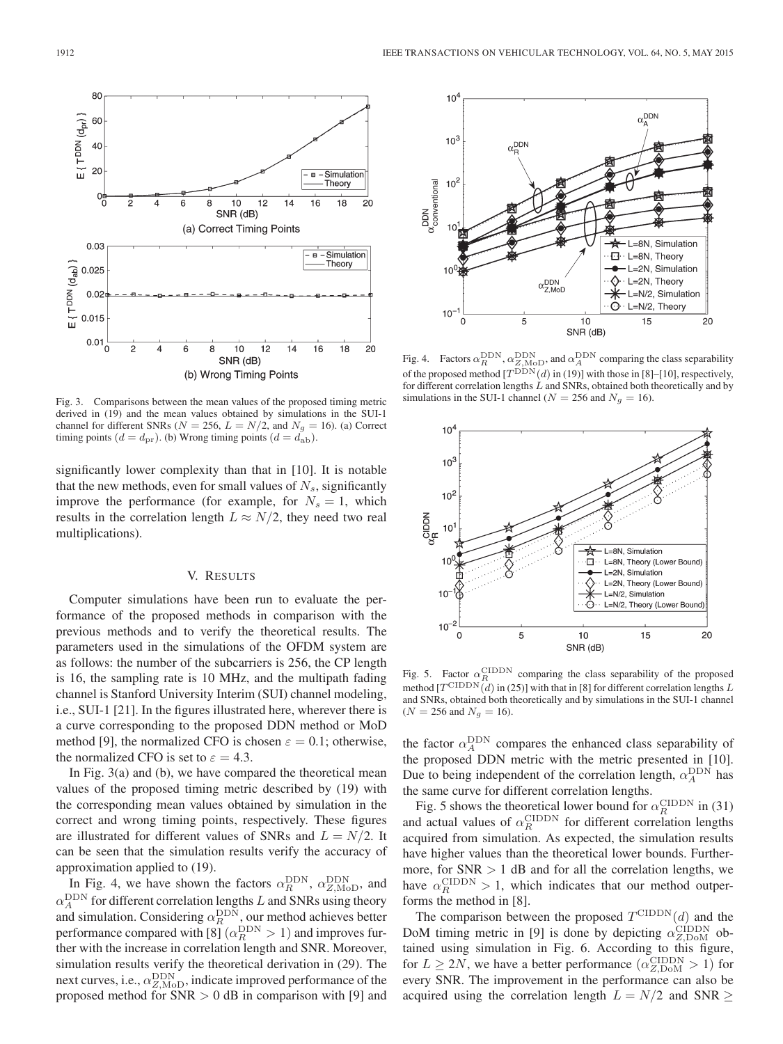

Fig. 3. Comparisons between the mean values of the proposed timing metric derived in (19) and the mean values obtained by simulations in the SUI-1 channel for different SNRs ( $N = 256$ ,  $L = N/2$ , and  $N_g = 16$ ). (a) Correct timing points  $(d = d_{\text{pr}})$ . (b) Wrong timing points  $(d = d_{\text{ab}})$ .

significantly lower complexity than that in [10]. It is notable that the new methods, even for small values of  $N_s$ , significantly improve the performance (for example, for  $N_s = 1$ , which results in the correlation length  $L \approx N/2$ , they need two real multiplications).

# V. RESULTS

Computer simulations have been run to evaluate the performance of the proposed methods in comparison with the previous methods and to verify the theoretical results. The parameters used in the simulations of the OFDM system are as follows: the number of the subcarriers is 256, the CP length is 16, the sampling rate is 10 MHz, and the multipath fading channel is Stanford University Interim (SUI) channel modeling, i.e., SUI-1 [21]. In the figures illustrated here, wherever there is a curve corresponding to the proposed DDN method or MoD method [9], the normalized CFO is chosen  $\varepsilon = 0.1$ ; otherwise, the normalized CFO is set to  $\varepsilon = 4.3$ .

In Fig. 3(a) and (b), we have compared the theoretical mean values of the proposed timing metric described by (19) with the corresponding mean values obtained by simulation in the correct and wrong timing points, respectively. These figures are illustrated for different values of SNRs and  $L = N/2$ . It can be seen that the simulation results verify the accuracy of approximation applied to (19).

In Fig. 4, we have shown the factors  $\alpha_R^{\text{DDN}}$ ,  $\alpha_{Z,\text{MoD}}^{\text{DDN}}$ , and  $\alpha_A^{\text{DDN}}$  for different correlation lengths L and SNRs using theory and simulation. Considering  $\alpha_R^{\text{DDN}}$ , our method achieves better performance compared with [8]  $(\alpha_R^{\rm DDN} > 1)$  and improves further with the increase in correlation length and SNR. Moreover, simulation results verify the theoretical derivation in (29). The next curves, i.e.,  $\alpha_{Z, \text{MoD}}^{\text{DDN}}$ , indicate improved performance of the proposed method for  $SNR > 0$  dB in comparison with [9] and



Fig. 4. Factors  $\alpha_R^{\text{DDN}}$ ,  $\alpha_{Z,\text{MoD}}^{\text{DDN}}$ , and  $\alpha_A^{\text{DDN}}$  comparing the class separability of the proposed method  $[T^{DDN}(d)$  in (19)] with those in [8]–[10], respectively, for different correlation lengths  $\tilde{L}$  and SNRs, obtained both theoretically and by simulations in the SUI-1 channel ( $N = 256$  and  $N_g = 16$ ).



Fig. 5. Factor  $\alpha_R^{\text{CIDDN}}$  comparing the class separability of the proposed method  $[T^{\text{CIDDN}}(\tilde{d})$  in (25)] with that in [8] for different correlation lengths L and SNRs, obtained both theoretically and by simulations in the SUI-1 channel  $(N = 256 \text{ and } N_g = 16).$ 

the factor  $\alpha_A^{\text{DDN}}$  compares the enhanced class separability of the proposed DDN metric with the metric presented in [10]. Due to being independent of the correlation length,  $\alpha_A^{\text{DDN}}$  has the same curve for different correlation lengths.

Fig. 5 shows the theoretical lower bound for  $\alpha_R^{\text{CIDDN}}$  in (31) and actual values of  $\alpha_R^{\text{CIDDN}}$  for different correlation lengths acquired from simulation. As expected, the simulation results have higher values than the theoretical lower bounds. Furthermore, for  $SNR > 1$  dB and for all the correlation lengths, we have  $\alpha_R^{\text{CIDDN}} > 1$ , which indicates that our method outperforms the method in [8].

The comparison between the proposed  $T^{\text{CIDDN}}(d)$  and the DoM timing metric in [9] is done by depicting  $\alpha_{Z, \text{DoM}}^{\text{CIDDN}}$  obtained using simulation in Fig. 6. According to this figure, for  $L \ge 2N$ , we have a better performance  $(\alpha_{Z, \text{DoM}}^{\text{CIDDN}} > 1)$  for every SNR. The improvement in the performance can also be acquired using the correlation length  $L = N/2$  and SNR  $\geq$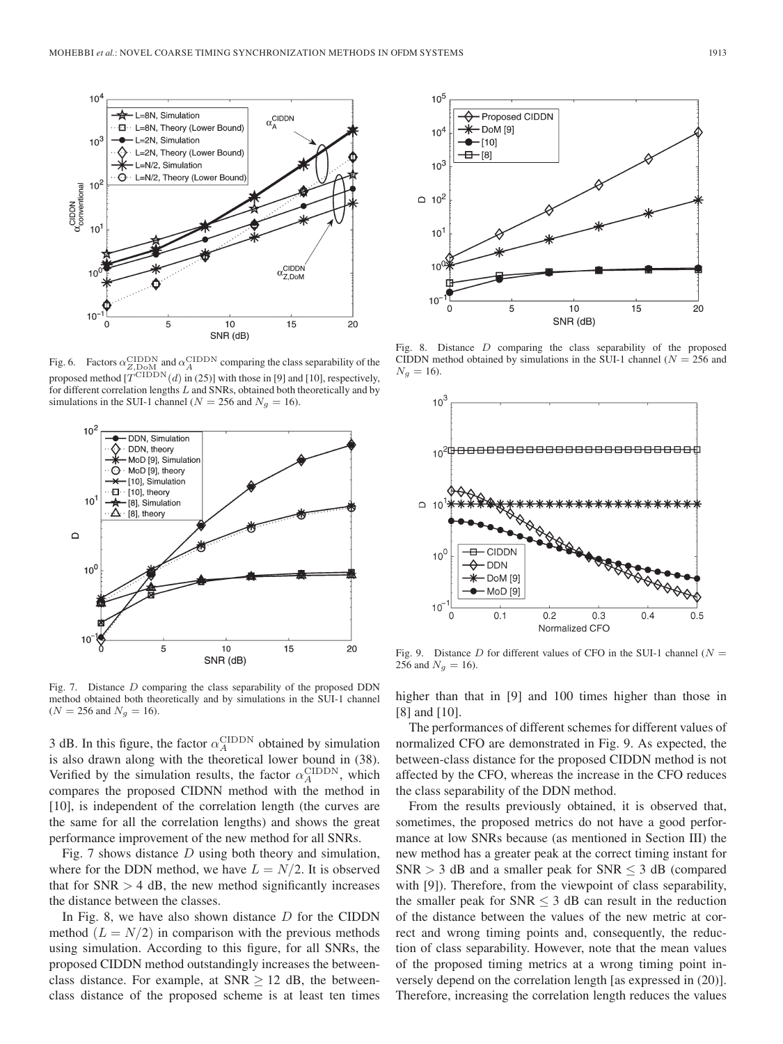

Fig. 6. Factors  $\alpha_{Z, \text{DOM}}^{\text{CIDDN}}$  and  $\alpha_A^{\text{CIDDN}}$  comparing the class separability of the proposed method  $[T^{\text{CIDDN}}(d)$  in (25)] with those in [9] and [10], respectively, for different correlation lengths L and SNRs, obtained both theoretically and by simulations in the SUI-1 channel ( $N = 256$  and  $N_g = 16$ ).



Fig. 7. Distance D comparing the class separability of the proposed DDN method obtained both theoretically and by simulations in the SUI-1 channel  $(N = 256 \text{ and } N_g = 16).$ 

3 dB. In this figure, the factor  $\alpha_A^{\text{CIDDN}}$  obtained by simulation is also drawn along with the theoretical lower bound in (38). Verified by the simulation results, the factor  $\alpha_A^{\text{CIDDN}}$ , which compares the proposed CIDNN method with the method in [10], is independent of the correlation length (the curves are the same for all the correlation lengths) and shows the great performance improvement of the new method for all SNRs.

Fig. 7 shows distance  $D$  using both theory and simulation, where for the DDN method, we have  $L = N/2$ . It is observed that for  $SNR > 4$  dB, the new method significantly increases the distance between the classes.

In Fig. 8, we have also shown distance  $D$  for the CIDDN method  $(L = N/2)$  in comparison with the previous methods using simulation. According to this figure, for all SNRs, the proposed CIDDN method outstandingly increases the betweenclass distance. For example, at SNR  $\geq$  12 dB, the betweenclass distance of the proposed scheme is at least ten times



Fig. 8. Distance  $D$  comparing the class separability of the proposed CIDDN method obtained by simulations in the SUI-1 channel ( $N = 256$  and  $N_g = 16$ ).



Fig. 9. Distance D for different values of CFO in the SUI-1 channel ( $N =$ 256 and  $N_g = 16$ ).

higher than that in [9] and 100 times higher than those in [8] and [10].

The performances of different schemes for different values of normalized CFO are demonstrated in Fig. 9. As expected, the between-class distance for the proposed CIDDN method is not affected by the CFO, whereas the increase in the CFO reduces the class separability of the DDN method.

From the results previously obtained, it is observed that, sometimes, the proposed metrics do not have a good performance at low SNRs because (as mentioned in Section III) the new method has a greater peak at the correct timing instant for  $SNR > 3$  dB and a smaller peak for  $SNR \leq 3$  dB (compared with [9]). Therefore, from the viewpoint of class separability, the smaller peak for  $SNR < 3$  dB can result in the reduction of the distance between the values of the new metric at correct and wrong timing points and, consequently, the reduction of class separability. However, note that the mean values of the proposed timing metrics at a wrong timing point inversely depend on the correlation length [as expressed in (20)]. Therefore, increasing the correlation length reduces the values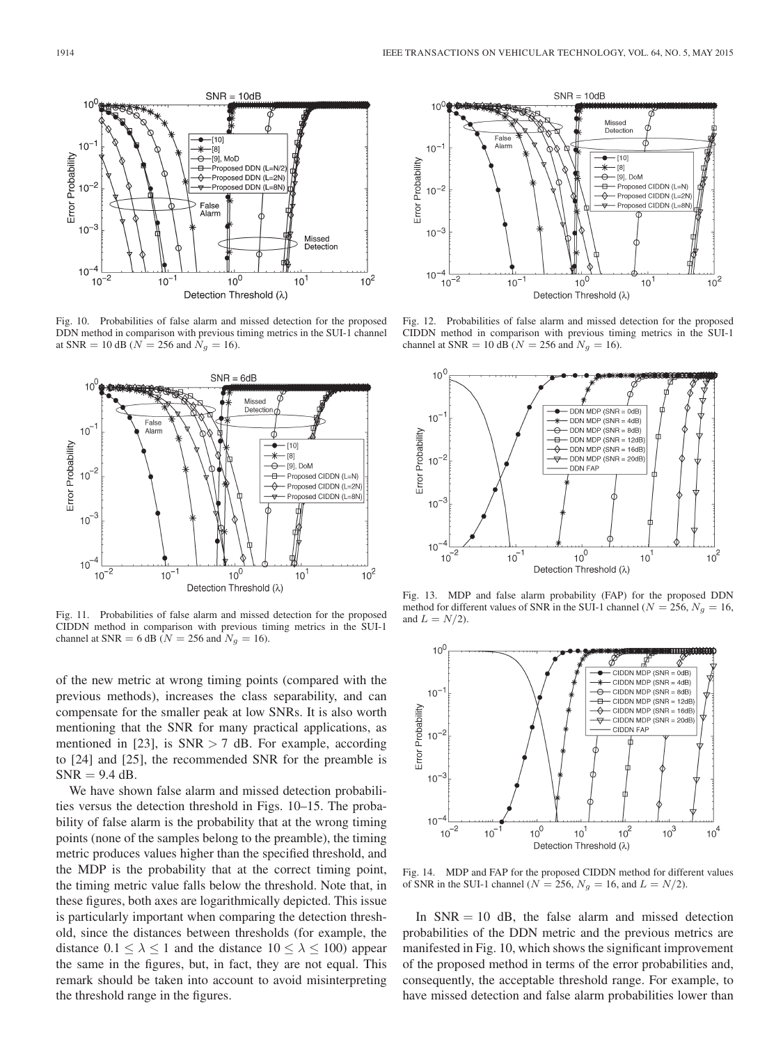

Fig. 10. Probabilities of false alarm and missed detection for the proposed DDN method in comparison with previous timing metrics in the SUI-1 channel at SNR = 10 dB ( $N = 256$  and  $N_g = 16$ ).



Fig. 11. Probabilities of false alarm and missed detection for the proposed CIDDN method in comparison with previous timing metrics in the SUI-1 channel at SNR = 6 dB ( $N = 256$  and  $N_g = 16$ ).

of the new metric at wrong timing points (compared with the previous methods), increases the class separability, and can compensate for the smaller peak at low SNRs. It is also worth mentioning that the SNR for many practical applications, as mentioned in [23], is  $SNR > 7$  dB. For example, according to [24] and [25], the recommended SNR for the preamble is  $SNR = 9.4$  dB.

We have shown false alarm and missed detection probabilities versus the detection threshold in Figs. 10–15. The probability of false alarm is the probability that at the wrong timing points (none of the samples belong to the preamble), the timing metric produces values higher than the specified threshold, and the MDP is the probability that at the correct timing point, the timing metric value falls below the threshold. Note that, in these figures, both axes are logarithmically depicted. This issue is particularly important when comparing the detection threshold, since the distances between thresholds (for example, the distance  $0.1 \le \lambda \le 1$  and the distance  $10 \le \lambda \le 100$ ) appear the same in the figures, but, in fact, they are not equal. This remark should be taken into account to avoid misinterpreting the threshold range in the figures.



Fig. 12. Probabilities of false alarm and missed detection for the proposed CIDDN method in comparison with previous timing metrics in the SUI-1 channel at SNR = 10 dB ( $N = 256$  and  $N_g = 16$ ).



Fig. 13. MDP and false alarm probability (FAP) for the proposed DDN method for different values of SNR in the SUI-1 channel ( $N = 256$ ,  $N_q = 16$ , and  $L = N/2$ ).



Fig. 14. MDP and FAP for the proposed CIDDN method for different values of SNR in the SUI-1 channel ( $N = 256$ ,  $N_g = 16$ , and  $L = N/2$ ).

In  $SNR = 10$  dB, the false alarm and missed detection probabilities of the DDN metric and the previous metrics are manifested in Fig. 10, which shows the significant improvement of the proposed method in terms of the error probabilities and, consequently, the acceptable threshold range. For example, to have missed detection and false alarm probabilities lower than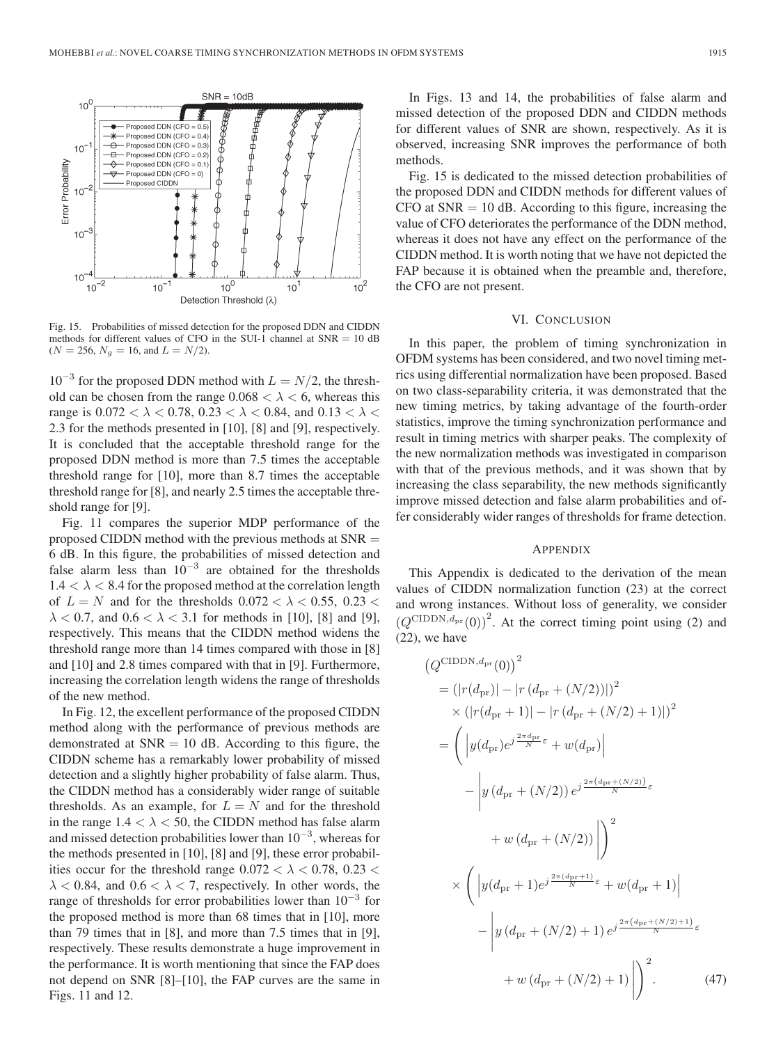

Fig. 15. Probabilities of missed detection for the proposed DDN and CIDDN methods for different values of CFO in the SUI-1 channel at  $SNR = 10$  dB  $(N = 256, N_q = 16, \text{ and } L = N/2).$ 

 $10^{-3}$  for the proposed DDN method with  $L = N/2$ , the threshold can be chosen from the range  $0.068 < \lambda < 6$ , whereas this range is  $0.072 < \lambda < 0.78$ ,  $0.23 < \lambda < 0.84$ , and  $0.13 < \lambda <$ 2.3 for the methods presented in [10], [8] and [9], respectively. It is concluded that the acceptable threshold range for the proposed DDN method is more than 7.5 times the acceptable threshold range for [10], more than 8.7 times the acceptable threshold range for [8], and nearly 2.5 times the acceptable threshold range for [9].

Fig. 11 compares the superior MDP performance of the proposed CIDDN method with the previous methods at SNR = 6 dB. In this figure, the probabilities of missed detection and false alarm less than  $10^{-3}$  are obtained for the thresholds  $1.4 < \lambda < 8.4$  for the proposed method at the correlation length of  $L = N$  and for the thresholds  $0.072 < \lambda < 0.55$ ,  $0.23 <$  $\lambda$  < 0.7, and 0.6 <  $\lambda$  < 3.1 for methods in [10], [8] and [9], respectively. This means that the CIDDN method widens the threshold range more than 14 times compared with those in [8] and [10] and 2.8 times compared with that in [9]. Furthermore, increasing the correlation length widens the range of thresholds of the new method.

In Fig. 12, the excellent performance of the proposed CIDDN method along with the performance of previous methods are demonstrated at  $SNR = 10$  dB. According to this figure, the CIDDN scheme has a remarkably lower probability of missed detection and a slightly higher probability of false alarm. Thus, the CIDDN method has a considerably wider range of suitable thresholds. As an example, for  $L = N$  and for the threshold in the range  $1.4 < \lambda < 50$ , the CIDDN method has false alarm and missed detection probabilities lower than  $10^{-3}$ , whereas for the methods presented in [10], [8] and [9], these error probabilities occur for the threshold range  $0.072 < \lambda < 0.78$ ,  $0.23 <$  $\lambda$  < 0.84, and 0.6 <  $\lambda$  < 7, respectively. In other words, the range of thresholds for error probabilities lower than  $10^{-3}$  for the proposed method is more than 68 times that in [10], more than 79 times that in [8], and more than 7.5 times that in [9], respectively. These results demonstrate a huge improvement in the performance. It is worth mentioning that since the FAP does not depend on SNR [8]–[10], the FAP curves are the same in Figs. 11 and 12.

In Figs. 13 and 14, the probabilities of false alarm and missed detection of the proposed DDN and CIDDN methods for different values of SNR are shown, respectively. As it is observed, increasing SNR improves the performance of both methods.

Fig. 15 is dedicated to the missed detection probabilities of the proposed DDN and CIDDN methods for different values of  $CFO$  at  $SNR = 10$  dB. According to this figure, increasing the value of CFO deteriorates the performance of the DDN method, whereas it does not have any effect on the performance of the CIDDN method. It is worth noting that we have not depicted the FAP because it is obtained when the preamble and, therefore, the CFO are not present.

# VI. CONCLUSION

In this paper, the problem of timing synchronization in OFDM systems has been considered, and two novel timing metrics using differential normalization have been proposed. Based on two class-separability criteria, it was demonstrated that the new timing metrics, by taking advantage of the fourth-order statistics, improve the timing synchronization performance and result in timing metrics with sharper peaks. The complexity of the new normalization methods was investigated in comparison with that of the previous methods, and it was shown that by increasing the class separability, the new methods significantly improve missed detection and false alarm probabilities and offer considerably wider ranges of thresholds for frame detection.

## APPENDIX

This Appendix is dedicated to the derivation of the mean values of CIDDN normalization function (23) at the correct and wrong instances. Without loss of generality, we consider  $(Q^{\text{CIDDN},d_{\text{pr}}}(0))^{2}$ . At the correct timing point using (2) and (22), we have

$$
(Q^{\text{CIDDN}, d_{\text{pr}}}(0))^2
$$
  
=  $(|r(d_{\text{pr}})| - |r(d_{\text{pr}} + (N/2))|)^2$   
 $\times (|r(d_{\text{pr}} + 1)| - |r(d_{\text{pr}} + (N/2) + 1)|)^2$   
=  $\left( |y(d_{\text{pr}})e^{j\frac{2\pi d_{\text{pr}}}{N}\varepsilon} + w(d_{\text{pr}}) \right|$   
 $- |y(d_{\text{pr}} + (N/2)) e^{j\frac{2\pi (d_{\text{pr}} + (N/2))}{N}\varepsilon}$   
 $+ w(d_{\text{pr}} + (N/2))| \right)^2$   
 $\times \left( |y(d_{\text{pr}} + 1)e^{j\frac{2\pi (d_{\text{pr}} + 1)}{N}\varepsilon} + w(d_{\text{pr}} + 1)|$   
 $- |y(d_{\text{pr}} + (N/2) + 1) e^{j\frac{2\pi (d_{\text{pr}} + (N/2) + 1)}{N}\varepsilon} + w(d_{\text{pr}} + (N/2) + 1)| \right)^2$ . (47)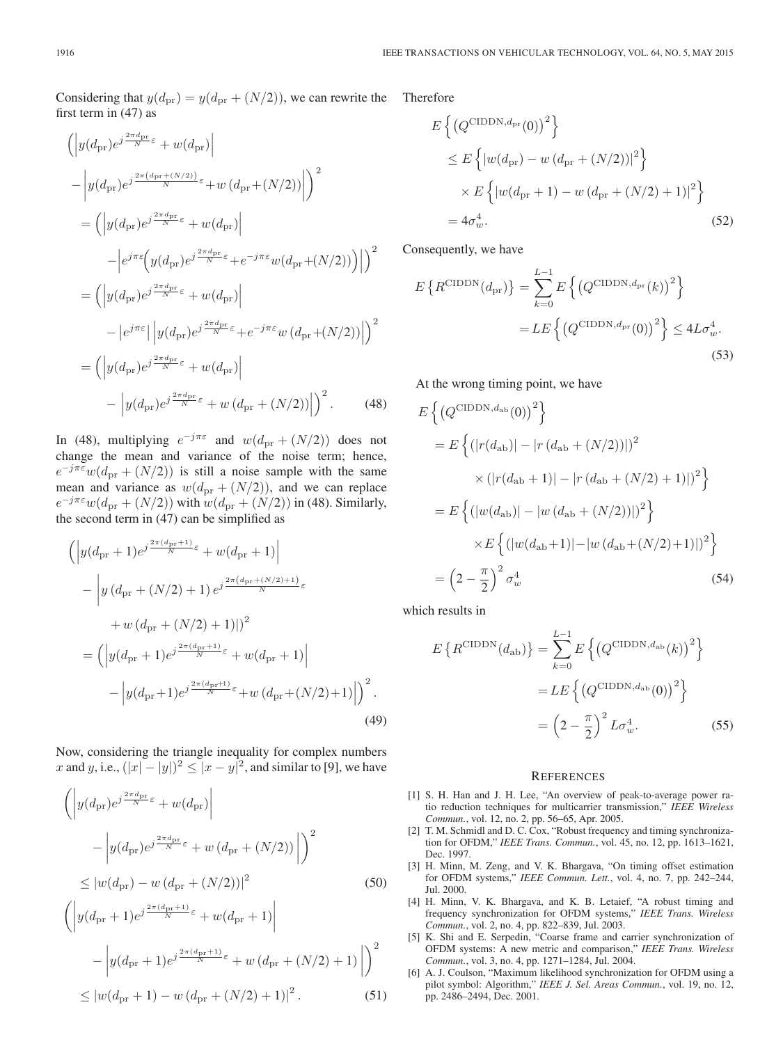Considering that  $y(d_{\text{pr}}) = y(d_{\text{pr}} + (N/2))$ , we can rewrite the first term in (47) as

$$
\left( \left| y(d_{\text{pr}}) e^{j\frac{2\pi d_{\text{pr}}}{N}\varepsilon} + w(d_{\text{pr}}) \right| \right.\n- \left| y(d_{\text{pr}}) e^{j\frac{2\pi (d_{\text{pr}} + (N/2))}{N}\varepsilon} + w(d_{\text{pr}} + (N/2)) \right| \right)^2 \n= \left( \left| y(d_{\text{pr}}) e^{j\frac{2\pi d_{\text{pr}}}{N}\varepsilon} + w(d_{\text{pr}}) \right| \n- \left| e^{j\pi \varepsilon} \left( y(d_{\text{pr}}) e^{j\frac{2\pi d_{\text{pr}}}{N}\varepsilon} + e^{-j\pi \varepsilon} w(d_{\text{pr}} + (N/2)) \right) \right| \right)^2 \n= \left( \left| y(d_{\text{pr}}) e^{j\frac{2\pi d_{\text{pr}}}{N}\varepsilon} + w(d_{\text{pr}}) \right| \n- \left| e^{j\pi \varepsilon} \right| \left| y(d_{\text{pr}}) e^{j\frac{2\pi d_{\text{pr}}}{N}\varepsilon} + e^{-j\pi \varepsilon} w(d_{\text{pr}} + (N/2)) \right| \right)^2 \n= \left( \left| y(d_{\text{pr}}) e^{j\frac{2\pi d_{\text{pr}}}{N}\varepsilon} + w(d_{\text{pr}}) \right| \n- \left| y(d_{\text{pr}}) e^{j\frac{2\pi d_{\text{pr}}}{N}\varepsilon} + w(d_{\text{pr}} + (N/2)) \right| \right)^2.
$$
\n(48)

In (48), multiplying  $e^{-j\pi\varepsilon}$  and  $w(d_{\text{pr}} + (N/2))$  does not change the mean and variance of the noise term; hence,  $e^{-j\pi\varepsilon}w(d_{\text{pr}} + (N/2))$  is still a noise sample with the same mean and variance as  $w(d_{\text{pr}} + (N/2))$ , and we can replace  $e^{-j\pi\varepsilon}w(d_{\text{pr}} + (N/2))$  with  $w(d_{\text{pr}} + (N/2))$  in (48). Similarly, the second term in (47) can be simplified as

$$
\left( \left| y(d_{\text{pr}} + 1)e^{j\frac{2\pi (d_{\text{pr}} + 1)}{N}\varepsilon} + w(d_{\text{pr}} + 1) \right| \right.\n- \left| y(d_{\text{pr}} + (N/2) + 1)e^{j\frac{2\pi (d_{\text{pr}} + (N/2) + 1)}{N}\varepsilon} \right.\n+ w(d_{\text{pr}} + (N/2) + 1) \right|2\n= \left( \left| y(d_{\text{pr}} + 1)e^{j\frac{2\pi (d_{\text{pr}} + 1)}{N}\varepsilon} + w(d_{\text{pr}} + 1) \right| \right.\n- \left| y(d_{\text{pr}} + 1)e^{j\frac{2\pi (d_{\text{pr}} + 1)}{N}\varepsilon} + w(d_{\text{pr}} + (N/2) + 1) \right| \right)^{2}.
$$
\n(49)

Now, considering the triangle inequality for complex numbers x and y, i.e.,  $(|x| - |y|)^2 \le |x - y|^2$ , and similar to [9], we have

$$
\left( \left| y(d_{\text{pr}}) e^{j\frac{2\pi d_{\text{pr}}}{N} \varepsilon} + w(d_{\text{pr}}) \right| \right)
$$

$$
- \left| y(d_{\text{pr}}) e^{j\frac{2\pi d_{\text{pr}}}{N} \varepsilon} + w(d_{\text{pr}} + (N/2)) \right| \right)^2
$$

$$
\leq |w(d_{\text{pr}}) - w(d_{\text{pr}} + (N/2))|^2 \tag{50}
$$

$$
\left( \left| y(d_{\text{pr}} + 1)e^{j\frac{2\pi (d_{\text{pr}} + 1)}{N}\varepsilon} + w(d_{\text{pr}} + 1) \right| \right. \left. - \left| y(d_{\text{pr}} + 1)e^{j\frac{2\pi (d_{\text{pr}} + 1)}{N}\varepsilon} + w(d_{\text{pr}} + (N/2) + 1) \right| \right)^2 \leq |w(d_{\text{pr}} + 1) - w(d_{\text{pr}} + (N/2) + 1)|^2.
$$
\n(51)

Therefore

$$
E\left\{ (Q^{\text{CIDDN}, d_{\text{pr}}}(0))^2 \right\}
$$
  
\n
$$
\leq E\left\{ |w(d_{\text{pr}}) - w(d_{\text{pr}} + (N/2))|^2 \right\}
$$
  
\n
$$
\times E\left\{ |w(d_{\text{pr}} + 1) - w(d_{\text{pr}} + (N/2) + 1)|^2 \right\}
$$
  
\n
$$
= 4\sigma_w^4.
$$
 (52)

Consequently, we have

$$
E\left\{R^{\text{CIDDN}}(d_{\text{pr}})\right\} = \sum_{k=0}^{L-1} E\left\{\left(Q^{\text{CIDDN}, d_{\text{pr}}}(k)\right)^2\right\}
$$

$$
= LE\left\{\left(Q^{\text{CIDDN}, d_{\text{pr}}}(0)\right)^2\right\} \le 4L\sigma_w^4.
$$
(53)

At the wrong timing point, we have

$$
E\left\{ (Q^{\text{CIDDN}, d_{\text{ab}}}(0))^2 \right\}
$$
  
=  $E\left\{ (|r(d_{\text{ab}})| - |r(d_{\text{ab}} + (N/2))|)^2$   
 $\times (|r(d_{\text{ab}} + 1)| - |r(d_{\text{ab}} + (N/2) + 1)|)^2 \right\}$   
=  $E\left\{ (|w(d_{\text{ab}})| - |w(d_{\text{ab}} + (N/2))|)^2 \right\}$   
 $\times E\left\{ (|w(d_{\text{ab}} + 1)| - |w(d_{\text{ab}} + (N/2) + 1)|)^2 \right\}$   
=  $(2 - \frac{\pi}{2})^2 \sigma_w^4$  (54)

which results in

$$
E\left\{R^{\text{CIDDN}}(d_{\text{ab}})\right\} = \sum_{k=0}^{L-1} E\left\{\left(Q^{\text{CIDDN}, d_{\text{ab}}}(k)\right)^2\right\}
$$

$$
= LE\left\{\left(Q^{\text{CIDDN}, d_{\text{ab}}}(0)\right)^2\right\}
$$

$$
= \left(2 - \frac{\pi}{2}\right)^2 L\sigma_w^4.
$$
 (55)

#### **REFERENCES**

- [1] S. H. Han and J. H. Lee, "An overview of peak-to-average power ratio reduction techniques for multicarrier transmission," *IEEE Wireless Commun.*, vol. 12, no. 2, pp. 56–65, Apr. 2005.
- [2] T. M. Schmidl and D. C. Cox, "Robust frequency and timing synchronization for OFDM," *IEEE Trans. Commun.*, vol. 45, no. 12, pp. 1613–1621, Dec. 1997.
- [3] H. Minn, M. Zeng, and V. K. Bhargava, "On timing offset estimation for OFDM systems," *IEEE Commun. Lett.*, vol. 4, no. 7, pp. 242–244, Jul. 2000.
- [4] H. Minn, V. K. Bhargava, and K. B. Letaief, "A robust timing and frequency synchronization for OFDM systems," *IEEE Trans. Wireless Commun.*, vol. 2, no. 4, pp. 822–839, Jul. 2003.
- [5] K. Shi and E. Serpedin, "Coarse frame and carrier synchronization of OFDM systems: A new metric and comparison," *IEEE Trans. Wireless Commun.*, vol. 3, no. 4, pp. 1271–1284, Jul. 2004.
- [6] A. J. Coulson, "Maximum likelihood synchronization for OFDM using a pilot symbol: Algorithm," *IEEE J. Sel. Areas Commun.*, vol. 19, no. 12, pp. 2486–2494, Dec. 2001.